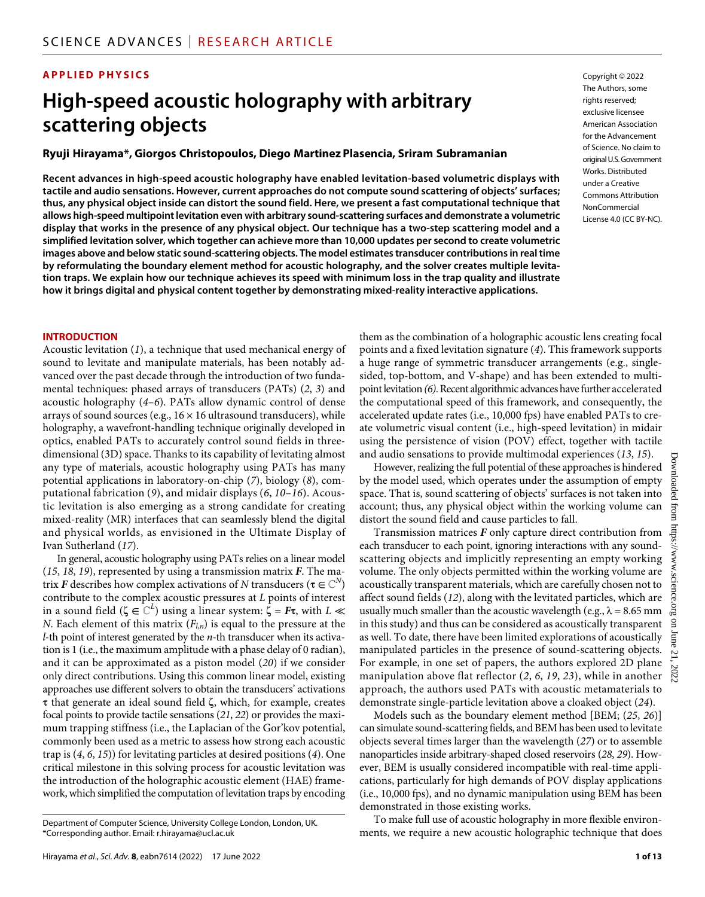#### **APPLIED PHYSICS**

## **High-speed acoustic holography with arbitrary scattering objects**

#### **Ryuji Hirayama\*, Giorgos Christopoulos, Diego Martinez Plasencia, Sriram Subramanian**

**Recent advances in high-speed acoustic holography have enabled levitation-based volumetric displays with tactile and audio sensations. However, current approaches do not compute sound scattering of objects' surfaces; thus, any physical object inside can distort the sound field. Here, we present a fast computational technique that allows high-speed multipoint levitation even with arbitrary sound-scattering surfaces and demonstrate a volumetric display that works in the presence of any physical object. Our technique has a two-step scattering model and a simplified levitation solver, which together can achieve more than 10,000 updates per second to create volumetric images above and below static sound-scattering objects. The model estimates transducer contributions in real time by reformulating the boundary element method for acoustic holography, and the solver creates multiple levitation traps. We explain how our technique achieves its speed with minimum loss in the trap quality and illustrate how it brings digital and physical content together by demonstrating mixed-reality interactive applications.**

Copyright © 2022 The Authors, some rights reserved: exclusive licensee American Association for the Advancement of Science. No claim to original U.S.Government Works. Distributed under a Creative Commons Attribution **NonCommercial** License 4.0 (CC BY-NC).

#### **INTRODUCTION**

Acoustic levitation (*1*), a technique that used mechanical energy of sound to levitate and manipulate materials, has been notably advanced over the past decade through the introduction of two fundamental techniques: phased arrays of transducers (PATs) (*2*, *3*) and acoustic holography (*4*–*6*). PATs allow dynamic control of dense arrays of sound sources (e.g.,  $16 \times 16$  ultrasound transducers), while holography, a wavefront-handling technique originally developed in optics, enabled PATs to accurately control sound fields in threedimensional (3D) space. Thanks to its capability of levitating almost any type of materials, acoustic holography using PATs has many potential applications in laboratory-on-chip (*7*), biology (*8*), computational fabrication (*9*), and midair displays (*6*, *10*–*16*). Acoustic levitation is also emerging as a strong candidate for creating mixed-reality (MR) interfaces that can seamlessly blend the digital and physical worlds, as envisioned in the Ultimate Display of Ivan Sutherland (*17*).

In general, acoustic holography using PATs relies on a linear model (*15*, *18*, *19*), represented by using a transmission matrix *F*. The matrix *F* describes how complex activations of *N* transducers ( $\tau \in \mathbb{C}^N$ ) contribute to the complex acoustic pressures at *L* points of interest in a sound field ( $\zeta \in \mathbb{C}^L$ ) using a linear system:  $\bar{\zeta} = F \tau$ , with  $L \ll$ *N*. Each element of this matrix  $(F_{l,n})$  is equal to the pressure at the *l*-th point of interest generated by the *n*-th transducer when its activation is 1 (i.e., the maximum amplitude with a phase delay of 0 radian), and it can be approximated as a piston model (*20*) if we consider only direct contributions. Using this common linear model, existing approaches use different solvers to obtain the transducers' activations  $\tau$  that generate an ideal sound field  $\zeta$ , which, for example, creates focal points to provide tactile sensations (*21*, *22*) or provides the maximum trapping stiffness (i.e., the Laplacian of the Gor'kov potential, commonly been used as a metric to assess how strong each acoustic trap is (*4*, *6*, *15*)) for levitating particles at desired positions (*4*). One critical milestone in this solving process for acoustic levitation was the introduction of the holographic acoustic element (HAE) framework, which simplified the computation of levitation traps by encoding

them as the combination of a holographic acoustic lens creating focal points and a fixed levitation signature (*4*). This framework supports a huge range of symmetric transducer arrangements (e.g., singlesided, top-bottom, and V-shape) and has been extended to multipoint levitation *(6)*. Recent algorithmic advances have further accelerated the computational speed of this framework, and consequently, the accelerated update rates (i.e., 10,000 fps) have enabled PATs to create volumetric visual content (i.e., high-speed levitation) in midair using the persistence of vision (POV) effect, together with tactile and audio sensations to provide multimodal experiences (*13*, *15*).

However, realizing the full potential of these approaches is hindered by the model used, which operates under the assumption of empty space. That is, sound scattering of objects' surfaces is not taken into account; thus, any physical object within the working volume can distort the sound field and cause particles to fall.

Transmission matrices *F* only capture direct contribution from each transducer to each point, ignoring interactions with any soundscattering objects and implicitly representing an empty working volume. The only objects permitted within the working volume are acoustically transparent materials, which are carefully chosen not to affect sound fields (*12*), along with the levitated particles, which are usually much smaller than the acoustic wavelength (e.g.,  $\lambda$  = 8.65 mm in this study) and thus can be considered as acoustically transparent as well. To date, there have been limited explorations of acoustically manipulated particles in the presence of sound-scattering objects. For example, in one set of papers, the authors explored 2D plane manipulation above flat reflector (*2*, *6*, *19*, *23*), while in another approach, the authors used PATs with acoustic metamaterials to demonstrate single-particle levitation above a cloaked object (*24*).

Models such as the boundary element method [BEM; (*25*, *26*)] can simulate sound-scattering fields, and BEM has been used to levitate objects several times larger than the wavelength (*27*) or to assemble nanoparticles inside arbitrary-shaped closed reservoirs (*28*, *29*). However, BEM is usually considered incompatible with real-time applications, particularly for high demands of POV display applications (i.e., 10,000 fps), and no dynamic manipulation using BEM has been demonstrated in those existing works.

To make full use of acoustic holography in more flexible environ-Department of Computer Science, University College London, London, UK.<br>Ments, we require a new acoustic holographic technique that does or acoustic proportion of Computer a new acoustic holographic technique that does

<sup>\*</sup>Corresponding author. Email: [r.hirayama@ucl.ac.uk](mailto:r.hirayama@ucl.ac.uk)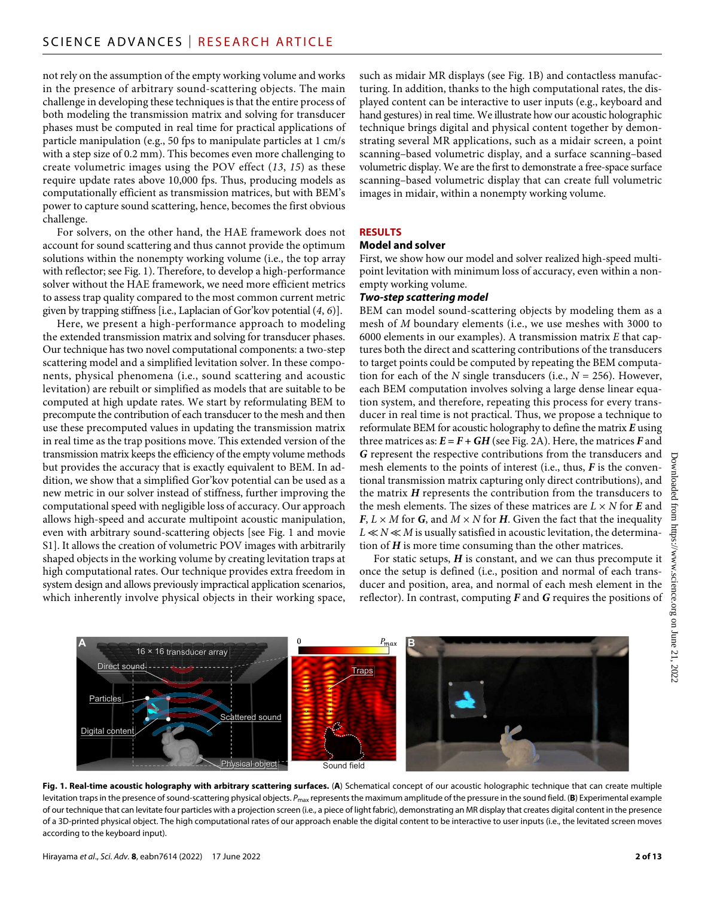not rely on the assumption of the empty working volume and works in the presence of arbitrary sound-scattering objects. The main challenge in developing these techniques is that the entire process of both modeling the transmission matrix and solving for transducer phases must be computed in real time for practical applications of particle manipulation (e.g., 50 fps to manipulate particles at 1 cm/s with a step size of 0.2 mm). This becomes even more challenging to create volumetric images using the POV effect (*13*, *15*) as these require update rates above 10,000 fps. Thus, producing models as computationally efficient as transmission matrices, but with BEM's power to capture sound scattering, hence, becomes the first obvious challenge.

For solvers, on the other hand, the HAE framework does not account for sound scattering and thus cannot provide the optimum solutions within the nonempty working volume (i.e., the top array with reflector; see Fig. 1). Therefore, to develop a high-performance solver without the HAE framework, we need more efficient metrics to assess trap quality compared to the most common current metric given by trapping stiffness [i.e., Laplacian of Gor'kov potential (*4*, *6*)].

Here, we present a high-performance approach to modeling the extended transmission matrix and solving for transducer phases. Our technique has two novel computational components: a two-step scattering model and a simplified levitation solver. In these components, physical phenomena (i.e., sound scattering and acoustic levitation) are rebuilt or simplified as models that are suitable to be computed at high update rates. We start by reformulating BEM to precompute the contribution of each transducer to the mesh and then use these precomputed values in updating the transmission matrix in real time as the trap positions move. This extended version of the transmission matrix keeps the efficiency of the empty volume methods but provides the accuracy that is exactly equivalent to BEM. In addition, we show that a simplified Gor'kov potential can be used as a new metric in our solver instead of stiffness, further improving the computational speed with negligible loss of accuracy. Our approach allows high-speed and accurate multipoint acoustic manipulation, even with arbitrary sound-scattering objects [see Fig. 1 and movie S1]. It allows the creation of volumetric POV images with arbitrarily shaped objects in the working volume by creating levitation traps at high computational rates. Our technique provides extra freedom in system design and allows previously impractical application scenarios, which inherently involve physical objects in their working space,

such as midair MR displays (see Fig. 1B) and contactless manufacturing. In addition, thanks to the high computational rates, the displayed content can be interactive to user inputs (e.g., keyboard and hand gestures) in real time. We illustrate how our acoustic holographic technique brings digital and physical content together by demonstrating several MR applications, such as a midair screen, a point scanning–based volumetric display, and a surface scanning–based volumetric display. We are the first to demonstrate a free-space surface scanning–based volumetric display that can create full volumetric images in midair, within a nonempty working volume.

#### **RESULTS**

#### **Model and solver**

First, we show how our model and solver realized high-speed multipoint levitation with minimum loss of accuracy, even within a nonempty working volume.

#### *Two-step scattering model*

BEM can model sound-scattering objects by modeling them as a mesh of *M* boundary elements (i.e., we use meshes with 3000 to 6000 elements in our examples). A transmission matrix *E* that captures both the direct and scattering contributions of the transducers to target points could be computed by repeating the BEM computation for each of the *N* single transducers (i.e.,  $N = 256$ ). However, each BEM computation involves solving a large dense linear equation system, and therefore, repeating this process for every transducer in real time is not practical. Thus, we propose a technique to reformulate BEM for acoustic holography to define the matrix *E* using three matrices as:  $E = F + GH$  (see Fig. 2A). Here, the matrices *F* and *G* represent the respective contributions from the transducers and mesh elements to the points of interest (i.e., thus, *F* is the conventional transmission matrix capturing only direct contributions), and the matrix *H* represents the contribution from the transducers to the mesh elements. The sizes of these matrices are  $L \times N$  for  $E$  and  $F, L \times M$  for *G*, and  $M \times N$  for *H*. Given the fact that the inequality  $L \ll N \ll M$  is usually satisfied in acoustic levitation, the determination of *H* is more time consuming than the other matrices.

For static setups, *H* is constant, and we can thus precompute it once the setup is defined (i.e., position and normal of each transducer and position, area, and normal of each mesh element in the reflector). In contrast, computing *F* and *G* requires the positions of



**Fig. 1. Real-time acoustic holography with arbitrary scattering surfaces.** (**A**) Schematical concept of our acoustic holographic technique that can create multiple levitation traps in the presence of sound-scattering physical objects. P<sub>max</sub> represents the maximum amplitude of the pressure in the sound field. (B) Experimental example of our technique that can levitate four particles with a projection screen (i.e., a piece of light fabric), demonstrating an MR display that creates digital content in the presence of a 3D-printed physical object. The high computational rates of our approach enable the digital content to be interactive to user inputs (i.e., the levitated screen moves according to the keyboard input).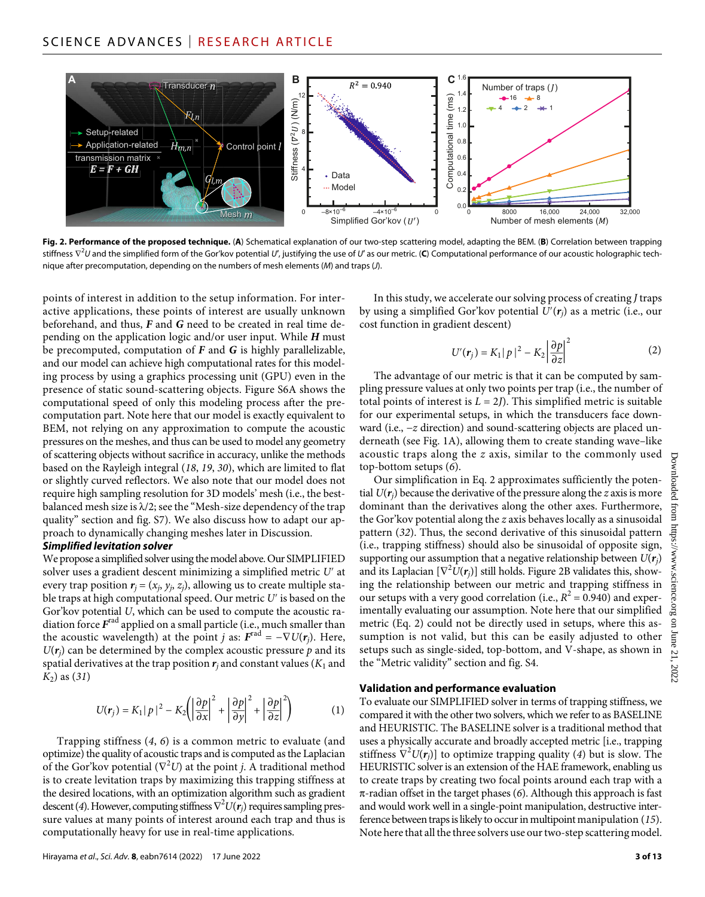

**Fig. 2. Performance of the proposed technique.** (**A**) Schematical explanation of our two-step scattering model, adapting the BEM. (**B**) Correlation between trapping stiffness ∇<sup>2</sup> *U* and the simplified form of the Gor'kov potential *U*′, justifying the use of *U*′ as our metric. (**C**) Computational performance of our acoustic holographic technique after precomputation, depending on the numbers of mesh elements (*M*) and traps (*J*).

points of interest in addition to the setup information. For interactive applications, these points of interest are usually unknown beforehand, and thus, *F* and *G* need to be created in real time depending on the application logic and/or user input. While *H* must be precomputed, computation of *F* and *G* is highly parallelizable, and our model can achieve high computational rates for this modeling process by using a graphics processing unit (GPU) even in the presence of static sound-scattering objects. Figure S6A shows the computational speed of only this modeling process after the precomputation part. Note here that our model is exactly equivalent to BEM, not relying on any approximation to compute the acoustic pressures on the meshes, and thus can be used to model any geometry of scattering objects without sacrifice in accuracy, unlike the methods based on the Rayleigh integral (*18*, *19*, *30*), which are limited to flat or slightly curved reflectors. We also note that our model does not require high sampling resolution for 3D models' mesh (i.e., the bestbalanced mesh size is  $\lambda/2$ ; see the "Mesh-size dependency of the trap quality" section and fig. S7). We also discuss how to adapt our approach to dynamically changing meshes later in Discussion.

#### *Simplified levitation solver*

We propose a simplified solver using the model above. Our SIMPLIFIED solver uses a gradient descent minimizing a simplified metric *U*′ at every trap position  $r_i = (x_i, y_i, z_i)$ , allowing us to create multiple stable traps at high computational speed. Our metric *U*′ is based on the Gor'kov potential *U*, which can be used to compute the acoustic radiation force *F*rad applied on a small particle (i.e., much smaller than the acoustic wavelength) at the point *j* as:  $F^{\text{rad}} = -\nabla U(r_i)$ . Here,  $U(r_i)$  can be determined by the complex acoustic pressure  $p$  and its spatial derivatives at the trap position  $r_i$  and constant values ( $K_1$  and *K*2) as (*31*)

$$
U(r_j) = K_1 |p|^2 - K_2 \left( \left| \frac{\partial p}{\partial x} \right|^2 + \left| \frac{\partial p}{\partial y} \right|^2 + \left| \frac{\partial p}{\partial z} \right|^2 \right) \tag{1}
$$

Trapping stiffness (*4*, *6*) is a common metric to evaluate (and optimize) the quality of acoustic traps and is computed as the Laplacian of the Gor'kov potential ( $\nabla^2 U$ ) at the point *j*. A traditional method is to create levitation traps by maximizing this trapping stiffness at the desired locations, with an optimization algorithm such as gradient descent (*4*). However, computing stiffness ∇<sup>2</sup> *U*(*rj*) requires sampling pressure values at many points of interest around each trap and thus is computationally heavy for use in real-time applications.

Hirayama *et al*., *Sci. Adv.* **8**, eabn7614 (2022) 17 June 2022

In this study, we accelerate our solving process of creating *J* traps by using a simplified Gor'kov potential *U*′(*rj*) as a metric (i.e., our cost function in gradient descent)

$$
U'(\mathbf{r}_j) = K_1 |p|^2 - K_2 \left| \frac{\partial p}{\partial z} \right|^2 \tag{2}
$$

The advantage of our metric is that it can be computed by sampling pressure values at only two points per trap (i.e., the number of total points of interest is  $L = 2J$ ). This simplified metric is suitable for our experimental setups, in which the transducers face downward (i.e., −*z* direction) and sound-scattering objects are placed underneath (see Fig. 1A), allowing them to create standing wave–like acoustic traps along the *z* axis, similar to the commonly used top-bottom setups (*6*).

Our simplification in Eq. 2 approximates sufficiently the potential  $U(r_i)$  because the derivative of the pressure along the *z* axis is more dominant than the derivatives along the other axes. Furthermore, the Gor'kov potential along the *z* axis behaves locally as a sinusoidal pattern (*32*). Thus, the second derivative of this sinusoidal pattern (i.e., trapping stiffness) should also be sinusoidal of opposite sign, supporting our assumption that a negative relationship between  $U(r_i)$ and its Laplacian  $[\nabla^2 U(\pmb{r}_j)]$  still holds. Figure 2B validates this, showing the relationship between our metric and trapping stiffness in our setups with a very good correlation (i.e.,  $R^2 = 0.940$ ) and experimentally evaluating our assumption. Note here that our simplified metric (Eq. 2) could not be directly used in setups, where this assumption is not valid, but this can be easily adjusted to other setups such as single-sided, top-bottom, and V-shape, as shown in the "Metric validity" section and fig. S4.

#### **Validation and performance evaluation**

To evaluate our SIMPLIFIED solver in terms of trapping stiffness, we compared it with the other two solvers, which we refer to as BASELINE and HEURISTIC. The BASELINE solver is a traditional method that uses a physically accurate and broadly accepted metric [i.e., trapping stiffness  $\nabla^2 U(r_j)$ ] to optimize trapping quality (4) but is slow. The HEURISTIC solver is an extension of the HAE framework, enabling us to create traps by creating two focal points around each trap with a  $\pi$ -radian offset in the target phases (6). Although this approach is fast and would work well in a single-point manipulation, destructive interference between traps is likely to occur in multipoint manipulation (*15*). Note here that all the three solvers use our two-step scattering model.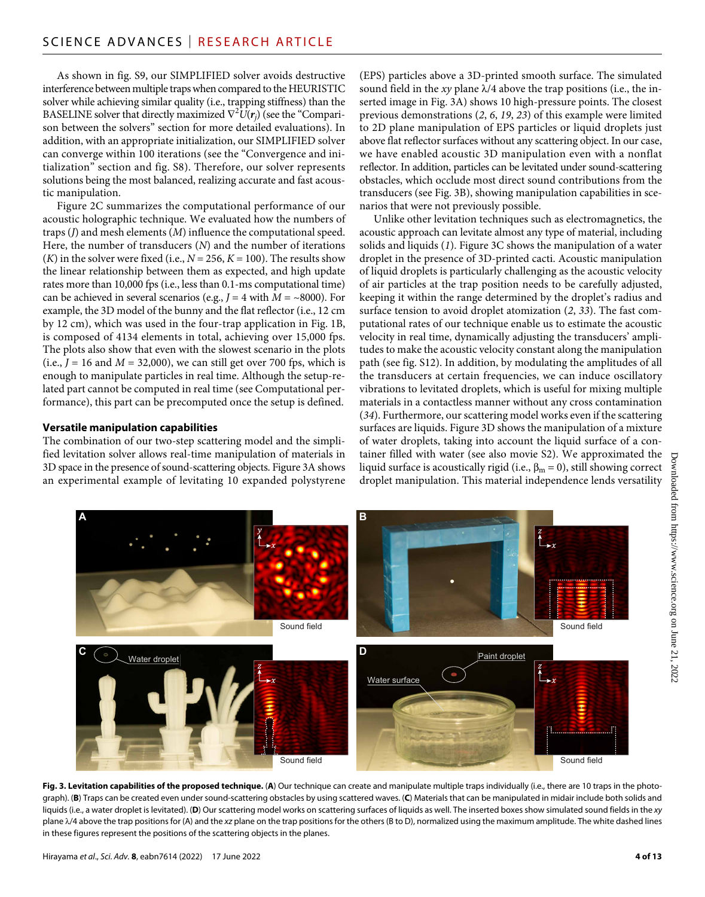As shown in fig. S9, our SIMPLIFIED solver avoids destructive interference between multiple traps when compared to the HEURISTIC solver while achieving similar quality (i.e., trapping stiffness) than the BASELINE solver that directly maximized  $\nabla^2 U(r_j)$  (see the "Comparison between the solvers" section for more detailed evaluations). In addition, with an appropriate initialization, our SIMPLIFIED solver can converge within 100 iterations (see the "Convergence and initialization" section and fig. S8). Therefore, our solver represents solutions being the most balanced, realizing accurate and fast acoustic manipulation.

Figure 2C summarizes the computational performance of our acoustic holographic technique. We evaluated how the numbers of traps (*J*) and mesh elements (*M*) influence the computational speed. Here, the number of transducers (*N*) and the number of iterations  $(K)$  in the solver were fixed (i.e.,  $N = 256$ ,  $K = 100$ ). The results show the linear relationship between them as expected, and high update rates more than 10,000 fps (i.e., less than 0.1-ms computational time) can be achieved in several scenarios (e.g.,  $J = 4$  with  $M = \sim 8000$ ). For example, the 3D model of the bunny and the flat reflector (i.e., 12 cm by 12 cm), which was used in the four-trap application in Fig. 1B, is composed of 4134 elements in total, achieving over 15,000 fps. The plots also show that even with the slowest scenario in the plots (i.e.,  $J = 16$  and  $M = 32,000$ ), we can still get over 700 fps, which is enough to manipulate particles in real time. Although the setup-related part cannot be computed in real time (see Computational performance), this part can be precomputed once the setup is defined.

#### **Versatile manipulation capabilities**

The combination of our two-step scattering model and the simplified levitation solver allows real-time manipulation of materials in 3D space in the presence of sound-scattering objects. Figure 3A shows an experimental example of levitating 10 expanded polystyrene

(EPS) particles above a 3D-printed smooth surface. The simulated sound field in the  $xy$  plane  $\lambda/4$  above the trap positions (i.e., the inserted image in Fig. 3A) shows 10 high-pressure points. The closest previous demonstrations (*2*, *6*, *19*, *23*) of this example were limited to 2D plane manipulation of EPS particles or liquid droplets just above flat reflector surfaces without any scattering object. In our case, we have enabled acoustic 3D manipulation even with a nonflat reflector. In addition, particles can be levitated under sound-scattering obstacles, which occlude most direct sound contributions from the transducers (see Fig. 3B), showing manipulation capabilities in scenarios that were not previously possible.

Unlike other levitation techniques such as electromagnetics, the acoustic approach can levitate almost any type of material, including solids and liquids (*1*). Figure 3C shows the manipulation of a water droplet in the presence of 3D-printed cacti. Acoustic manipulation of liquid droplets is particularly challenging as the acoustic velocity of air particles at the trap position needs to be carefully adjusted, keeping it within the range determined by the droplet's radius and surface tension to avoid droplet atomization (*2*, *33*). The fast computational rates of our technique enable us to estimate the acoustic velocity in real time, dynamically adjusting the transducers' amplitudes to make the acoustic velocity constant along the manipulation path (see fig. S12). In addition, by modulating the amplitudes of all the transducers at certain frequencies, we can induce oscillatory vibrations to levitated droplets, which is useful for mixing multiple materials in a contactless manner without any cross contamination (*34*). Furthermore, our scattering model works even if the scattering surfaces are liquids. Figure 3D shows the manipulation of a mixture of water droplets, taking into account the liquid surface of a container filled with water (see also movie S2). We approximated the liquid surface is acoustically rigid (i.e.,  $\beta_m = 0$ ), still showing correct droplet manipulation. This material independence lends versatility



Fig. 3. Levitation capabilities of the proposed technique. (A) Our technique can create and manipulate multiple traps individually (i.e., there are 10 traps in the photograph). (**B**) Traps can be created even under sound-scattering obstacles by using scattered waves. (**C**) Materials that can be manipulated in midair include both solids and liquids (i.e., a water droplet is levitated). (**D**) Our scattering model works on scattering surfaces of liquids as well. The inserted boxes show simulated sound fields in the *xy* plane  $\lambda/4$  above the trap positions for (A) and the xz plane on the trap positions for the others (B to D), normalized using the maximum amplitude. The white dashed lines in these figures represent the positions of the scattering objects in the planes.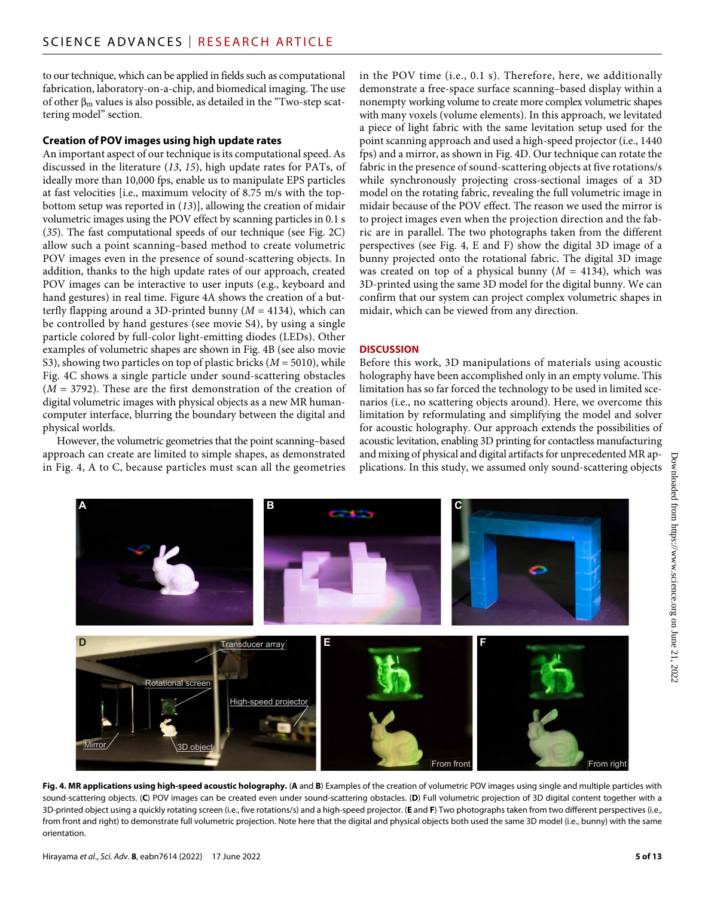to our technique, which can be applied in fields such as computational fabrication, laboratory-on-a-chip, and biomedical imaging. The use of other  $\beta_m$  values is also possible, as detailed in the "Two-step scattering model" section.

#### **Creation of POV images using high update rates**

An important aspect of our technique is its computational speed. As discussed in the literature (*13*, *15*), high update rates for PATs, of ideally more than 10,000 fps, enable us to manipulate EPS particles at fast velocities [i.e., maximum velocity of 8.75 m/s with the topbottom setup was reported in (*13*)], allowing the creation of midair volumetric images using the POV effect by scanning particles in 0.1 s (*35*). The fast computational speeds of our technique (see Fig. 2C) allow such a point scanning–based method to create volumetric POV images even in the presence of sound-scattering objects. In addition, thanks to the high update rates of our approach, created POV images can be interactive to user inputs (e.g., keyboard and hand gestures) in real time. Figure 4A shows the creation of a butterfly flapping around a 3D-printed bunny  $(M = 4134)$ , which can be controlled by hand gestures (see movie S4), by using a single particle colored by full-color light-emitting diodes (LEDs). Other examples of volumetric shapes are shown in Fig. 4B (see also movie S3), showing two particles on top of plastic bricks (*M* = 5010), while Fig. 4C shows a single particle under sound-scattering obstacles  $(M = 3792)$ . These are the first demonstration of the creation of digital volumetric images with physical objects as a new MR humancomputer interface, blurring the boundary between the digital and physical worlds.

However, the volumetric geometries that the point scanning–based approach can create are limited to simple shapes, as demonstrated in Fig. 4, A to C, because particles must scan all the geometries in the POV time (i.e., 0.1 s). Therefore, here, we additionally demonstrate a free-space surface scanning–based display within a nonempty working volume to create more complex volumetric shapes with many voxels (volume elements). In this approach, we levitated a piece of light fabric with the same levitation setup used for the point scanning approach and used a high-speed projector (i.e., 1440 fps) and a mirror, as shown in Fig. 4D. Our technique can rotate the fabric in the presence of sound-scattering objects at five rotations/s while synchronously projecting cross-sectional images of a 3D model on the rotating fabric, revealing the full volumetric image in midair because of the POV effect. The reason we used the mirror is to project images even when the projection direction and the fabric are in parallel. The two photographs taken from the different perspectives (see Fig. 4, E and F) show the digital 3D image of a bunny projected onto the rotational fabric. The digital 3D image was created on top of a physical bunny  $(M = 4134)$ , which was 3D-printed using the same 3D model for the digital bunny. We can confirm that our system can project complex volumetric shapes in midair, which can be viewed from any direction.

#### **DISCUSSION**

Before this work, 3D manipulations of materials using acoustic holography have been accomplished only in an empty volume. This limitation has so far forced the technology to be used in limited scenarios (i.e., no scattering objects around). Here, we overcome this limitation by reformulating and simplifying the model and solver for acoustic holography. Our approach extends the possibilities of acoustic levitation, enabling 3D printing for contactless manufacturing and mixing of physical and digital artifacts for unprecedented MR applications. In this study, we assumed only sound-scattering objects



Fig. 4. MR applications using high-speed acoustic holography. (A and B) Examples of the creation of volumetric POV images using single and multiple particles with sound-scattering objects. (**C**) POV images can be created even under sound-scattering obstacles. (**D**) Full volumetric projection of 3D digital content together with a 3D-printed object using a quickly rotating screen (i.e., five rotations/s) and a high-speed projector. (**E** and **F**) Two photographs taken from two different perspectives (i.e., from front and right) to demonstrate full volumetric projection. Note here that the digital and physical objects both used the same 3D model (i.e., bunny) with the same orientation.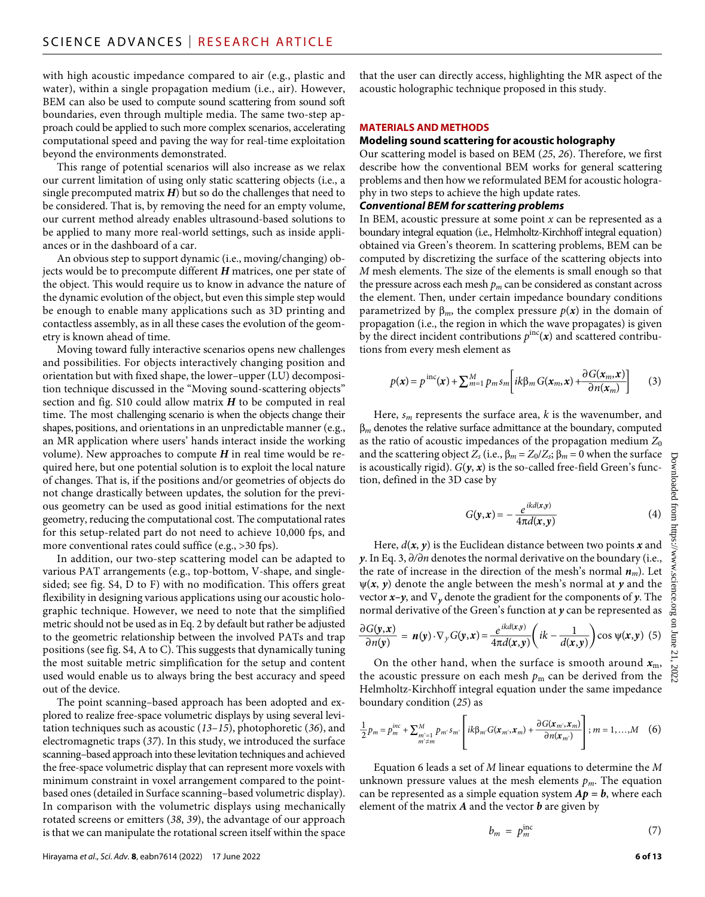with high acoustic impedance compared to air (e.g., plastic and water), within a single propagation medium (i.e., air). However, BEM can also be used to compute sound scattering from sound soft boundaries, even through multiple media. The same two-step approach could be applied to such more complex scenarios, accelerating computational speed and paving the way for real-time exploitation beyond the environments demonstrated.

This range of potential scenarios will also increase as we relax our current limitation of using only static scattering objects (i.e., a single precomputed matrix  $H$ ) but so do the challenges that need to be considered. That is, by removing the need for an empty volume, our current method already enables ultrasound-based solutions to be applied to many more real-world settings, such as inside appliances or in the dashboard of a car.

An obvious step to support dynamic (i.e., moving/changing) objects would be to precompute different *H* matrices, one per state of the object. This would require us to know in advance the nature of the dynamic evolution of the object, but even this simple step would be enough to enable many applications such as 3D printing and contactless assembly, as in all these cases the evolution of the geometry is known ahead of time.

Moving toward fully interactive scenarios opens new challenges and possibilities. For objects interactively changing position and orientation but with fixed shape, the lower–upper (LU) decomposition technique discussed in the "Moving sound-scattering objects" section and fig. S10 could allow matrix *H* to be computed in real time. The most challenging scenario is when the objects change their shapes, positions, and orientations in an unpredictable manner (e.g., an MR application where users' hands interact inside the working volume). New approaches to compute  $H$  in real time would be required here, but one potential solution is to exploit the local nature of changes. That is, if the positions and/or geometries of objects do not change drastically between updates, the solution for the previous geometry can be used as good initial estimations for the next geometry, reducing the computational cost. The computational rates for this setup-related part do not need to achieve 10,000 fps, and more conventional rates could suffice (e.g., >30 fps).

In addition, our two-step scattering model can be adapted to various PAT arrangements (e.g., top-bottom, V-shape, and singlesided; see fig. S4, D to F) with no modification. This offers great flexibility in designing various applications using our acoustic holographic technique. However, we need to note that the simplified metric should not be used as in Eq. 2 by default but rather be adjusted to the geometric relationship between the involved PATs and trap positions (see fig. S4, A to C). This suggests that dynamically tuning the most suitable metric simplification for the setup and content used would enable us to always bring the best accuracy and speed out of the device.

The point scanning–based approach has been adopted and explored to realize free-space volumetric displays by using several levitation techniques such as acoustic (*13*–*15*), photophoretic (*36*), and electromagnetic traps (*37*). In this study, we introduced the surface scanning–based approach into these levitation techniques and achieved the free-space volumetric display that can represent more voxels with minimum constraint in voxel arrangement compared to the pointbased ones (detailed in Surface scanning–based volumetric display). In comparison with the volumetric displays using mechanically rotated screens or emitters (*38*, *39*), the advantage of our approach is that we can manipulate the rotational screen itself within the space that the user can directly access, highlighting the MR aspect of the acoustic holographic technique proposed in this study.

#### **MATERIALS AND METHODS**

#### **Modeling sound scattering for acoustic holography**

Our scattering model is based on BEM (*25*, *26*). Therefore, we first describe how the conventional BEM works for general scattering problems and then how we reformulated BEM for acoustic holography in two steps to achieve the high update rates.

#### *Conventional BEM for scattering problems*

In BEM, acoustic pressure at some point *x* can be represented as a boundary integral equation (i.e., Helmholtz-Kirchhoff integral equation) obtained via Green's theorem. In scattering problems, BEM can be computed by discretizing the surface of the scattering objects into *M* mesh elements. The size of the elements is small enough so that the pressure across each mesh  $p_m$  can be considered as constant across the element. Then, under certain impedance boundary conditions parametrized by  $\beta_m$ , the complex pressure  $p(x)$  in the domain of propagation (i.e., the region in which the wave propagates) is given by the direct incident contributions  $p^{\text{inc}}(x)$  and scattered contributions from every mesh element as

tions from every mesh element as  
\n
$$
p(\mathbf{x}) = p^{\text{inc}}(\mathbf{x}) + \sum_{m=1}^{M} p_m s_m \left[ ik\beta_m G(\mathbf{x}_m, \mathbf{x}) + \frac{\partial G(\mathbf{x}_m, \mathbf{x})}{\partial n(\mathbf{x}_m)} \right]
$$
(3)

Here, *sm* represents the surface area, *k* is the wavenumber, and  $\beta_m$  denotes the relative surface admittance at the boundary, computed as the ratio of acoustic impedances of the propagation medium  $Z_0$ and the scattering object  $Z_s$  (i.e.,  $\beta_m = Z_0/Z_s$ ;  $\beta_m = 0$  when the surface is acoustically rigid).  $G(y, x)$  is the so-called free-field Green's function, defined in the 3D case by

case by  

$$
G(\mathbf{y}, \mathbf{x}) = -\frac{e^{ikd(\mathbf{x}, \mathbf{y})}}{4\pi d(\mathbf{x}, \mathbf{y})}
$$
(4)

Here,  $d(x, y)$  is the Euclidean distance between two points  $x$  and *y*. In Eq. 3, ∂/∂n denotes the normal derivative on the boundary (i.e., the rate of increase in the direction of the mesh's normal *nm*). Let  $\psi(x, y)$  denote the angle between the mesh's normal at y and the vector  $x-y$ , and  $\nabla$ <sub>*y*</sub> denote the gradient for the components of *y*. The

normal derivative of the Green's function at y can be represented as  
\n
$$
\frac{\partial G(\mathbf{y}, \mathbf{x})}{\partial n(\mathbf{y})} = n(\mathbf{y}) \cdot \nabla_y G(\mathbf{y}, \mathbf{x}) = \frac{e^{ikd(\mathbf{x}, \mathbf{y})}}{4\pi d(\mathbf{x}, \mathbf{y})} \left( ik - \frac{1}{d(\mathbf{x}, \mathbf{y})} \right) \cos \psi(\mathbf{x}, \mathbf{y})
$$
(5)

On the other hand, when the surface is smooth around  $x<sub>m</sub>$ , the acoustic pressure on each mesh  $p<sub>m</sub>$  can be derived from the Helmholtz-Kirchhoff integral equation under the same impedance boundary condition (*25*) as

Helmnoltz-Krchnorin integral equation under the same impedance  
boundary condition (25) as  

$$
\frac{1}{2}p_m = p_m^{inc} + \sum_{\substack{m'=1 \ m' \neq m}}^{M} p_{m'} s_{m'} \left[ ik \beta_{m'} G(\mathbf{x}_{m'}, \mathbf{x}_m) + \frac{\partial G(\mathbf{x}_{m'}, \mathbf{x}_m)}{\partial n(\mathbf{x}_{m'})} \right]; m = 1, ..., M
$$
 (6)

Equation 6 leads a set of *M* linear equations to determine the *M* unknown pressure values at the mesh elements  $p_m$ . The equation can be represented as a simple equation system  $Ap = b$ , where each element of the matrix *A* and the vector *b* are given by

$$
b_m = p_m^{\text{inc}} \tag{7}
$$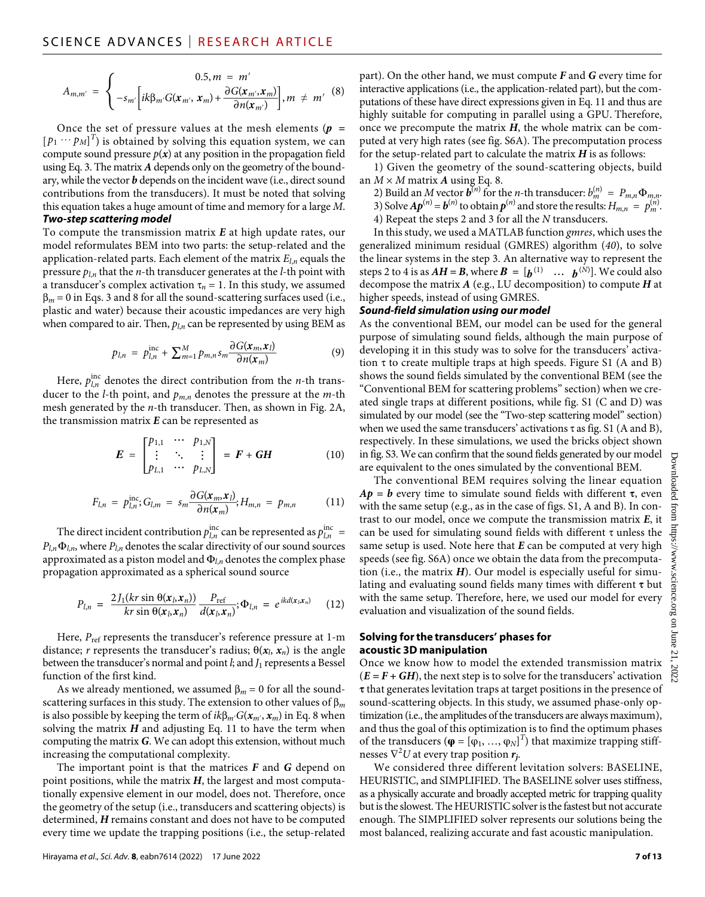$$
A_{m,m'} = \begin{cases} 0.5, m = m'\\ -s_{m'} \left[i k \beta_{m'} G(\mathbf{x}_{m'}, \mathbf{x}_{m}) + \frac{\partial G(\mathbf{x}_{m'}, \mathbf{x}_{m})}{\partial n(\mathbf{x}_{m'})}\right], m \neq m' \end{cases}
$$
 (8)

Once the set of pressure values at the mesh elements (*p =*  $[p_1 \cdots p_M]^T$  is obtained by solving this equation system, we can compute sound pressure  $p(x)$  at any position in the propagation field using Eq. 3. The matrix *A* depends only on the geometry of the boundary, while the vector *b* depends on the incident wave (i.e., direct sound contributions from the transducers). It must be noted that solving this equation takes a huge amount of time and memory for a large *M*. *Two-step scattering model*

To compute the transmission matrix *E* at high update rates, our model reformulates BEM into two parts: the setup-related and the application-related parts. Each element of the matrix *El*,*n* equals the pressure *pl*,*n* that the *n*-th transducer generates at the *l*-th point with a transducer's complex activation  $\tau_n = 1$ . In this study, we assumed  $\beta_m$  = 0 in Eqs. 3 and 8 for all the sound-scattering surfaces used (i.e., plastic and water) because their acoustic impedances are very high when compared to air. Then, *pl*,*n* can be represented by using BEM as

ter) because their acoustic impedances are very high  
d to air. Then, 
$$
p_{l,n}
$$
 can be represented by using BEM as  

$$
p_{l,n} = p_{l,n}^{\text{inc}} + \sum_{m=1}^{M} p_{m,n} s_m \frac{\partial G(x_m, x_l)}{\partial n(x_m)}
$$
(9)

Here,  $p_{l,n}^{\text{inc}}$  denotes the direct contribution from the *n*-th transducer to the *l*-th point, and *pm*,*n* denotes the pressure at the *m*-th mesh generated by the *n*-th transducer. Then, as shown in Fig. 2A, the transmission matrix *E* can be represented as

$$
E = \begin{bmatrix} p_{1,1} & \cdots & p_{1,N} \\ \vdots & \ddots & \vdots \\ p_{L,1} & \cdots & p_{L,N} \end{bmatrix} = F + GH \qquad (10)
$$

$$
\begin{bmatrix}\n p_{L,1} & \cdots & p_{L,N}\n\end{bmatrix}
$$
\n
$$
F_{l,n} = p_{l,n}^{\text{inc}}; G_{l,m} = s_m \frac{\partial G(x_m, x_l)}{\partial n(x_m)}, H_{m,n} = p_{m,n} \tag{11}
$$

The direct incident contribution  $p_{l,n}^{\text{inc}}$  can be represented as  $p_{l,n}^{\text{inc}} =$  $P_{\mu} \Phi_{\mu}$ , where  $P_{\mu}$  denotes the scalar directivity of our sound sources approximated as a piston model and  $\Phi$ <sub>l,*n*</sub> denotes the complex phase

propagation approximated as a spherical sound source  
\n
$$
P_{l,n} = \frac{2J_1(kr\sin\theta(x_l, x_n))}{kr\sin\theta(x_l, x_n)} \frac{P_{\text{ref}}}{d(x_l, x_n)}; \Phi_{l,n} = e^{ikd(x_l, x_n)}
$$
(12)

Here,  $P_{ref}$  represents the transducer's reference pressure at 1-m distance; *r* represents the transducer's radius;  $\theta(x_l, x_n)$  is the angle between the transducer's normal and point *l*; and *J*<sub>1</sub> represents a Bessel function of the first kind.

As we already mentioned, we assumed  $\beta_m = 0$  for all the soundscattering surfaces in this study. The extension to other values of  $\beta_m$ is also possible by keeping the term of  $ik\beta_{m'}G(\mathbf{x}_{m'}, \mathbf{x}_{m})$  in Eq. 8 when solving the matrix  $H$  and adjusting Eq. 11 to have the term when computing the matrix *G*. We can adopt this extension, without much increasing the computational complexity.

The important point is that the matrices *F* and *G* depend on point positions, while the matrix *H*, the largest and most computationally expensive element in our model, does not. Therefore, once the geometry of the setup (i.e., transducers and scattering objects) is determined, *H* remains constant and does not have to be computed every time we update the trapping positions (i.e., the setup-related part). On the other hand, we must compute *F* and *G* every time for interactive applications (i.e., the application-related part), but the computations of these have direct expressions given in Eq. 11 and thus are highly suitable for computing in parallel using a GPU. Therefore, once we precompute the matrix *H*, the whole matrix can be computed at very high rates (see fig. S6A). The precomputation process for the setup-related part to calculate the matrix *H* is as follows:

1) Given the geometry of the sound-scattering objects, build an  $M \times M$  matrix **A** using Eq. 8.

- 2) Build an *M* vector  $\boldsymbol{b}^{(n)}$  for the *n*-th transducer:  $b_m^{(n)} = P_{m,n} \Phi_{m,n}$ . 3) Solve  $A p^{(n)} = b^{(n)}$  to obtain  $p^{(n)}$  and store the results:  $H_{m,n} = p_m^{(n)}$ .
- 4) Repeat the steps 2 and 3 for all the *N* transducers.

In this study, we used a MATLAB function *gmres*, which uses the generalized minimum residual (GMRES) algorithm (*40*), to solve the linear systems in the step 3. An alternative way to represent the steps 2 to 4 is as  $AH = B$ , where  $B = [b^{(1)} \dots b^{(N)}]$ . We could also decompose the matrix *A* (e.g., LU decomposition) to compute *H* at higher speeds, instead of using GMRES.

#### *Sound-field simulation using our model*

As the conventional BEM, our model can be used for the general purpose of simulating sound fields, although the main purpose of developing it in this study was to solve for the transducers' activation  $\tau$  to create multiple traps at high speeds. Figure S1 (A and B) shows the sound fields simulated by the conventional BEM (see the "Conventional BEM for scattering problems" section) when we created single traps at different positions, while fig. S1 (C and D) was simulated by our model (see the "Two-step scattering model" section) when we used the same transducers' activations  $\tau$  as fig. S1 (A and B), respectively. In these simulations, we used the bricks object shown in fig. S3. We can confirm that the sound fields generated by our model are equivalent to the ones simulated by the conventional BEM.

The conventional BEM requires solving the linear equation  $Ap = b$  every time to simulate sound fields with different  $\tau$ , even with the same setup (e.g., as in the case of figs. S1, A and B). In contrast to our model, once we compute the transmission matrix *E*, it can be used for simulating sound fields with different  $\tau$  unless the same setup is used. Note here that *E* can be computed at very high speeds (see fig. S6A) once we obtain the data from the precomputation (i.e., the matrix *H*). Our model is especially useful for simulating and evaluating sound fields many times with different  $\tau$  but with the same setup. Therefore, here, we used our model for every evaluation and visualization of the sound fields.

#### **Solving forthe transducers' phases for acoustic 3D manipulation**

Once we know how to model the extended transmission matrix  $(E = F + GH)$ , the next step is to solve for the transducers' activation  $\tau$  that generates levitation traps at target positions in the presence of sound-scattering objects. In this study, we assumed phase-only optimization (i.e., the amplitudes of the transducers are always maximum), and thus the goal of this optimization is to find the optimum phases of the transducers ( $\boldsymbol{\varphi} = [\varphi_1, ..., \varphi_N]^T$ ) that maximize trapping stiffnesses ∇<sup>2</sup> *U* at every trap position *rj*.

We considered three different levitation solvers: BASELINE, HEURISTIC, and SIMPLIFIED. The BASELINE solver uses stiffness, as a physically accurate and broadly accepted metric for trapping quality but is the slowest. The HEURISTIC solver is the fastest but not accurate enough. The SIMPLIFIED solver represents our solutions being the most balanced, realizing accurate and fast acoustic manipulation.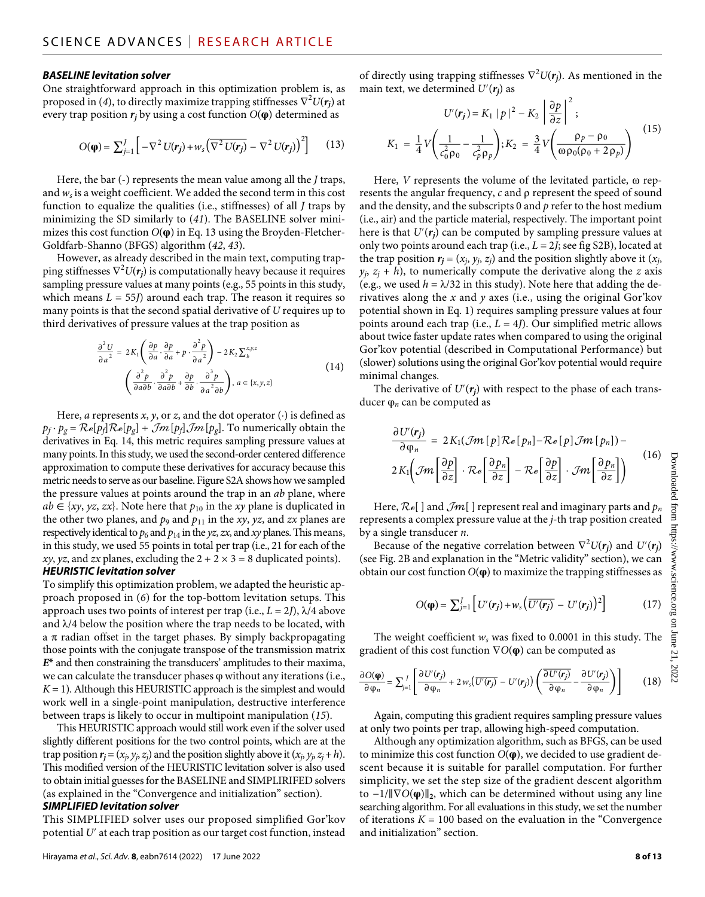#### *BASELINE levitation solver*

One straightforward approach in this optimization problem is, as proposed in (4), to directly maximize trapping stiffnesses  $\nabla^2 U(\pmb{r_j})$  at every trap position  $r_i$  by using a cost function  $O(\phi)$  determined as

$$
O(\boldsymbol{\varphi}) = \sum_{j=1}^{J} \left[ -\nabla^2 U(\boldsymbol{r}_j) + w_s \left( \overline{\nabla^2 U(\boldsymbol{r}_j)} - \nabla^2 U(\boldsymbol{r}_j) \right)^2 \right] \qquad (13)
$$

Here, the bar (-) represents the mean value among all the *J* traps, and  $w<sub>s</sub>$  is a weight coefficient. We added the second term in this cost function to equalize the qualities (i.e., stiffnesses) of all *J* traps by minimizing the SD similarly to (*41*). The BASELINE solver minimizes this cost function *O*(**φ**) in Eq. 13 using the Broyden-Fletcher-Goldfarb-Shanno (BFGS) algorithm (*42*, *43*).

However, as already described in the main text, computing trapping stiffnesses  $\nabla^2 U(r_j)$  is computationally heavy because it requires sampling pressure values at many points (e.g., 55 points in this study, which means  $L = 55J$ ) around each trap. The reason it requires so many points is that the second spatial derivative of *U* requires up to third derivatives of pressure values at the trap position as

$$
\frac{\partial^2 U}{\partial a^2} = 2K_1 \left( \frac{\partial p}{\partial a} \cdot \frac{\partial p}{\partial a} + p \cdot \frac{\partial^2 p}{\partial a^2} \right) - 2K_2 \sum_b^{x,y,z}
$$
  

$$
\left( \frac{\partial^2 p}{\partial a \partial b} \cdot \frac{\partial^2 p}{\partial a \partial b} + \frac{\partial p}{\partial b} \cdot \frac{\partial^3 p}{\partial a^2 \partial b} \right), a \in \{x, y, z\}
$$
 (14)

Here, *a* represents *x*, *y*, or *z*, and the dot operator  $(·)$  is defined as  $p_f \cdot p_g = \mathcal{R}e[p_f]\mathcal{R}e[p_g] + \mathcal{J}m[p_f]\mathcal{J}m[p_g]$ . To numerically obtain the derivatives in Eq. 14, this metric requires sampling pressure values at many points. In this study, we used the second-order centered difference approximation to compute these derivatives for accuracy because this metric needs to serve as our baseline. Figure S2A shows how we sampled the pressure values at points around the trap in an *ab* plane, where  $ab \in \{xy, yz, zx\}$ . Note here that  $p_{10}$  in the *xy* plane is duplicated in the other two planes, and  $p_9$  and  $p_{11}$  in the *xy*, *yz*, and *zx* planes are respectively identical to  $p_6$  and  $p_{14}$  in the *yz*, *zx*, and *xy* planes. This means, in this study, we used 55 points in total per trap (i.e., 21 for each of the *xy*, *yz*, and *zx* planes, excluding the  $2 + 2 \times 3 = 8$  duplicated points). *HEURISTIC levitation solver*

To simplify this optimization problem, we adapted the heuristic approach proposed in (*6*) for the top-bottom levitation setups. This approach uses two points of interest per trap (i.e.,  $L = 2J$ ),  $\lambda/4$  above and  $\lambda$ /4 below the position where the trap needs to be located, with a  $\pi$  radian offset in the target phases. By simply backpropagating those points with the conjugate transpose of the transmission matrix *E*\* and then constraining the transducers' amplitudes to their maxima, we can calculate the transducer phases φ without any iterations (i.e.,  $K = 1$ ). Although this HEURISTIC approach is the simplest and would work well in a single-point manipulation, destructive interference between traps is likely to occur in multipoint manipulation (*15*).

This HEURISTIC approach would still work even if the solver used slightly different positions for the two control points, which are at the trap position  $r_j = (x_j, y_j, z_j)$  and the position slightly above it  $(x_j, y_j, z_j + h)$ . This modified version of the HEURISTIC levitation solver is also used to obtain initial guesses for the BASELINE and SIMPLIRIFED solvers (as explained in the "Convergence and initialization" section).

#### *SIMPLIFIED levitation solver*

This SIMPLIFIED solver uses our proposed simplified Gor'kov potential *U*′ at each trap position as our target cost function, instead

of directly using trapping stiffnesses ∇<sup>2</sup> *U*(*rj*). As mentioned in the main text, we determined  $U'(r_i)$  as

text, we determined 
$$
U'(\mathbf{r}_j)
$$
 as  
\n
$$
U'(\mathbf{r}_j) = K_1 |p|^2 - K_2 \left| \frac{\partial p}{\partial z} \right|^2;
$$
\n
$$
K_1 = \frac{1}{4} V \left( \frac{1}{c_0^2 \rho_0} - \frac{1}{c_p^2 \rho_p} \right); K_2 = \frac{3}{4} V \left( \frac{\rho_p - \rho_0}{\omega \rho_0 (\rho_0 + 2 \rho_p)} \right)
$$
\n(15)

Here,  $V$  represents the volume of the levitated particle,  $\omega$  represents the angular frequency, c and  $\rho$  represent the speed of sound and the density, and the subscripts 0 and *p* refer to the host medium (i.e., air) and the particle material, respectively. The important point here is that *U*′(*rj*) can be computed by sampling pressure values at only two points around each trap (i.e., *L* = 2*J*; see fig S2B), located at the trap position  $r_j = (x_j, y_j, z_j)$  and the position slightly above it  $(x_j,$  $y_i$ ,  $z_i + h$ ), to numerically compute the derivative along the *z* axis (e.g., we used  $h = \lambda/32$  in this study). Note here that adding the derivatives along the *x* and *y* axes (i.e., using the original Gor'kov potential shown in Eq. 1) requires sampling pressure values at four points around each trap (i.e., *L* = 4*J*). Our simplified metric allows about twice faster update rates when compared to using the original Gor'kov potential (described in Computational Performance) but (slower) solutions using the original Gor'kov potential would require minimal changes.

The derivative of  $U'(r_j)$  with respect to the phase of each transducer φ*n* can be computed as

$$
\frac{\partial U'(r_j)}{\partial \varphi_n} = 2K_1(\mathcal{J}m[p]\mathcal{R}e[p_n] - \mathcal{R}e[p]\mathcal{J}m[p_n]) -
$$
  

$$
2K_1\left(\mathcal{J}m\left[\frac{\partial p}{\partial z}\right] \cdot \mathcal{R}e\left[\frac{\partial p_n}{\partial z}\right] - \mathcal{R}e\left[\frac{\partial p}{\partial z}\right] \cdot \mathcal{J}m\left[\frac{\partial p_n}{\partial z}\right]\right)
$$
(16)

Here,  $\mathcal{R}e[$  ] and  $\mathcal{J}m[$  ] represent real and imaginary parts and  $p_n$ represents a complex pressure value at the *j*-th trap position created by a single transducer *n*.

Because of the negative correlation between  $\nabla^2 U(r_j)$  and  $U'(r_j)$ (see Fig. 2B and explanation in the "Metric validity" section), we can obtain our cost function *O*(**φ**) to maximize the trapping stiffnesses as

$$
O(\boldsymbol{\varphi}) = \sum_{j=1}^{J} \left[ U'(r_j) + w_s \left( \overline{U'(r_j)} - U'(r_j) \right)^2 \right] \tag{17}
$$

The weight coefficient *ws* was fixed to 0.0001 in this study. The gradient of this cost function ∇*O*(**φ**) can be computed as

$$
\frac{\partial O(\varphi)}{\partial \varphi_n} = \sum_{j=1}^J \left[ \frac{\partial U'(r_j)}{\partial \varphi_n} + 2 w_s \left( \overline{U'(r_j)} - U'(r_j) \right) \left( \frac{\partial U'(r_j)}{\partial \varphi_n} - \frac{\partial U'(r_j)}{\partial \varphi_n} \right) \right]
$$
(18)

Again, computing this gradient requires sampling pressure values at only two points per trap, allowing high-speed computation.

Although any optimization algorithm, such as BFGS, can be used to minimize this cost function *O*(**φ**), we decided to use gradient descent because it is suitable for parallel computation. For further simplicity, we set the step size of the gradient descent algorithm to −1/‖∇*O*(**φ**)‖**2**, which can be determined without using any line searching algorithm. For all evaluations in this study, we set the number of iterations  $K = 100$  based on the evaluation in the "Convergence" and initialization" section.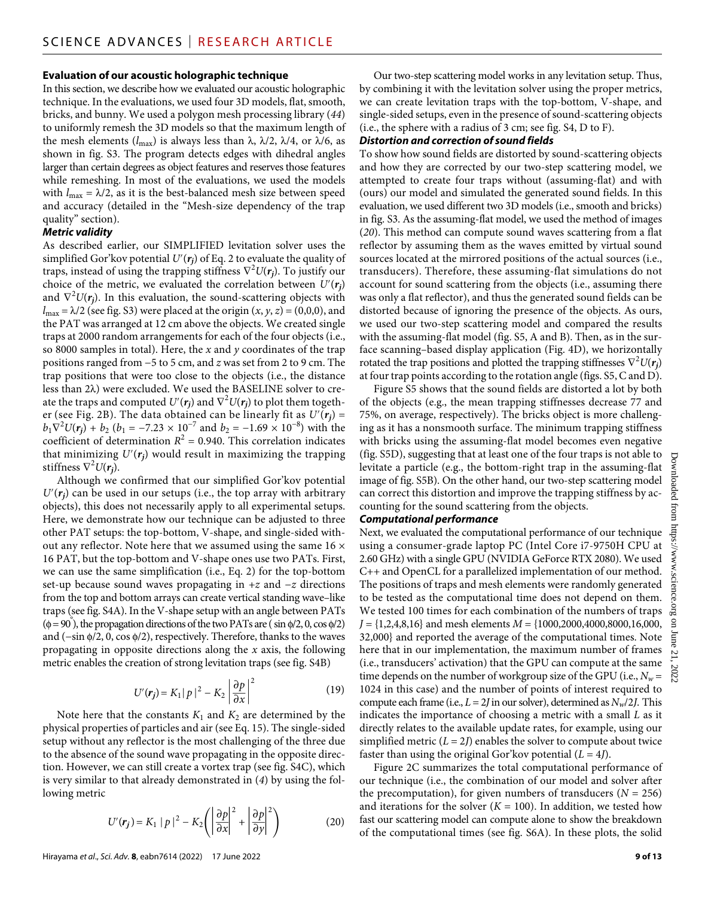#### **Evaluation of our acoustic holographic technique**

In this section, we describe how we evaluated our acoustic holographic technique. In the evaluations, we used four 3D models, flat, smooth, bricks, and bunny. We used a polygon mesh processing library (*44*) to uniformly remesh the 3D models so that the maximum length of the mesh elements ( $l_{\text{max}}$ ) is always less than  $\lambda$ ,  $\lambda/2$ ,  $\lambda/4$ , or  $\lambda/6$ , as shown in fig. S3. The program detects edges with dihedral angles larger than certain degrees as object features and reserves those features while remeshing. In most of the evaluations, we used the models with  $l_{\text{max}} = \lambda/2$ , as it is the best-balanced mesh size between speed and accuracy (detailed in the "Mesh-size dependency of the trap quality" section).

#### *Metric validity*

As described earlier, our SIMPLIFIED levitation solver uses the simplified Gor'kov potential  $U'(r_i)$  of Eq. 2 to evaluate the quality of traps, instead of using the trapping stiffness ∇<sup>2</sup> *U*(*rj*). To justify our choice of the metric, we evaluated the correlation between  $U'(r_i)$ and  $\nabla^2 U(r_j)$ . In this evaluation, the sound-scattering objects with  $l_{\text{max}} = \lambda/2$  (see fig. S3) were placed at the origin  $(x, y, z) = (0,0,0)$ , and the PAT was arranged at 12 cm above the objects. We created single traps at 2000 random arrangements for each of the four objects (i.e., so 8000 samples in total). Here, the *x* and *y* coordinates of the trap positions ranged from −5 to 5 cm, and *z* was set from 2 to 9 cm. The trap positions that were too close to the objects (i.e., the distance less than  $2\lambda$ ) were excluded. We used the BASELINE solver to create the traps and computed  $U'({\bm r_{\bm j}})$  and  $\nabla^2 U({\bm r_{\bm j}})$  to plot them together (see Fig. 2B). The data obtained can be linearly fit as  $U'(r_i)$  =  $b_1 \nabla^2 U(r_j) + b_2 (b_1 = -7.23 \times 10^{-7} \text{ and } b_2 = -1.69 \times 10^{-8} \text{)}$  with the coefficient of determination  $R^2 = 0.940$ . This correlation indicates that minimizing  $U(r_i)$  would result in maximizing the trapping stiffness ∇<sup>2</sup> *U*(*rj*).

Although we confirmed that our simplified Gor'kov potential  $U'(r_i)$  can be used in our setups (i.e., the top array with arbitrary objects), this does not necessarily apply to all experimental setups. Here, we demonstrate how our technique can be adjusted to three other PAT setups: the top-bottom, V-shape, and single-sided without any reflector. Note here that we assumed using the same  $16 \times$ 16 PAT, but the top-bottom and V-shape ones use two PATs. First, we can use the same simplification (i.e., Eq. 2) for the top-bottom set-up because sound waves propagating in +*z* and −*z* directions from the top and bottom arrays can create vertical standing wave–like traps (see fig. S4A). In the V-shape setup with an angle between PATs  $(\phi = 90^{\circ})$ , the propagation directions of the two PATs are (sin  $\phi/2$ , 0, cos  $\phi/2$ ) and (-sin  $\phi$ /2, 0, cos  $\phi$ /2), respectively. Therefore, thanks to the waves propagating in opposite directions along the *x* axis, the following metric enables the creation of strong levitation traps (see fig. S4B)

$$
U'(\mathbf{r}_j) = K_1 |p|^2 - K_2 \left| \frac{\partial p}{\partial x} \right|^2 \tag{19}
$$

Note here that the constants  $K_1$  and  $K_2$  are determined by the physical properties of particles and air (see Eq. 15). The single-sided setup without any reflector is the most challenging of the three due to the absence of the sound wave propagating in the opposite direction. However, we can still create a vortex trap (see fig. S4C), which is very similar to that already demonstrated in (*4*) by using the following metric

$$
U'(\mathbf{r}_j) = K_1 |p|^2 - K_2 \left( \left| \frac{\partial p}{\partial x} \right|^2 + \left| \frac{\partial p}{\partial y} \right|^2 \right) \tag{20}
$$

Our two-step scattering model works in any levitation setup. Thus, by combining it with the levitation solver using the proper metrics, we can create levitation traps with the top-bottom, V-shape, and single-sided setups, even in the presence of sound-scattering objects (i.e., the sphere with a radius of 3 cm; see fig. S4, D to F).

#### *Distortion and correction of sound fields*

To show how sound fields are distorted by sound-scattering objects and how they are corrected by our two-step scattering model, we attempted to create four traps without (assuming-flat) and with (ours) our model and simulated the generated sound fields. In this evaluation, we used different two 3D models (i.e., smooth and bricks) in fig. S3. As the assuming-flat model, we used the method of images (*20*). This method can compute sound waves scattering from a flat reflector by assuming them as the waves emitted by virtual sound sources located at the mirrored positions of the actual sources (i.e., transducers). Therefore, these assuming-flat simulations do not account for sound scattering from the objects (i.e., assuming there was only a flat reflector), and thus the generated sound fields can be distorted because of ignoring the presence of the objects. As ours, we used our two-step scattering model and compared the results with the assuming-flat model (fig. S5, A and B). Then, as in the surface scanning–based display application (Fig. 4D), we horizontally rotated the trap positions and plotted the trapping stiffnesses  $\nabla^2 U(\mathbf{r}_j)$ at four trap points according to the rotation angle (figs. S5, C and D).

Figure S5 shows that the sound fields are distorted a lot by both of the objects (e.g., the mean trapping stiffnesses decrease 77 and 75%, on average, respectively). The bricks object is more challenging as it has a nonsmooth surface. The minimum trapping stiffness with bricks using the assuming-flat model becomes even negative (fig. S5D), suggesting that at least one of the four traps is not able to levitate a particle (e.g., the bottom-right trap in the assuming-flat image of fig. S5B). On the other hand, our two-step scattering model can correct this distortion and improve the trapping stiffness by accounting for the sound scattering from the objects.

#### *Computational performance*

Next, we evaluated the computational performance of our technique using a consumer-grade laptop PC (Intel Core i7-9750H CPU at 2.60 GHz) with a single GPU (NVIDIA GeForce RTX 2080). We used C++ and OpenCL for a parallelized implementation of our method. The positions of traps and mesh elements were randomly generated to be tested as the computational time does not depend on them. We tested 100 times for each combination of the numbers of traps  $J = \{1,2,4,8,16\}$  and mesh elements  $M = \{1000,2000,4000,8000,16,000,$ 32,000} and reported the average of the computational times. Note here that in our implementation, the maximum number of frames (i.e., transducers' activation) that the GPU can compute at the same time depends on the number of workgroup size of the GPU (i.e.,  $N_w$  = 1024 in this case) and the number of points of interest required to compute each frame (i.e.,  $L = 2J$  in our solver), determined as  $N_w/2J$ . This indicates the importance of choosing a metric with a small *L* as it directly relates to the available update rates, for example, using our simplified metric  $(L = 2J)$  enables the solver to compute about twice faster than using the original Gor'kov potential  $(L = 4J)$ .

Figure 2C summarizes the total computational performance of our technique (i.e., the combination of our model and solver after the precomputation), for given numbers of transducers  $(N = 256)$ and iterations for the solver  $(K = 100)$ . In addition, we tested how fast our scattering model can compute alone to show the breakdown of the computational times (see fig. S6A). In these plots, the solid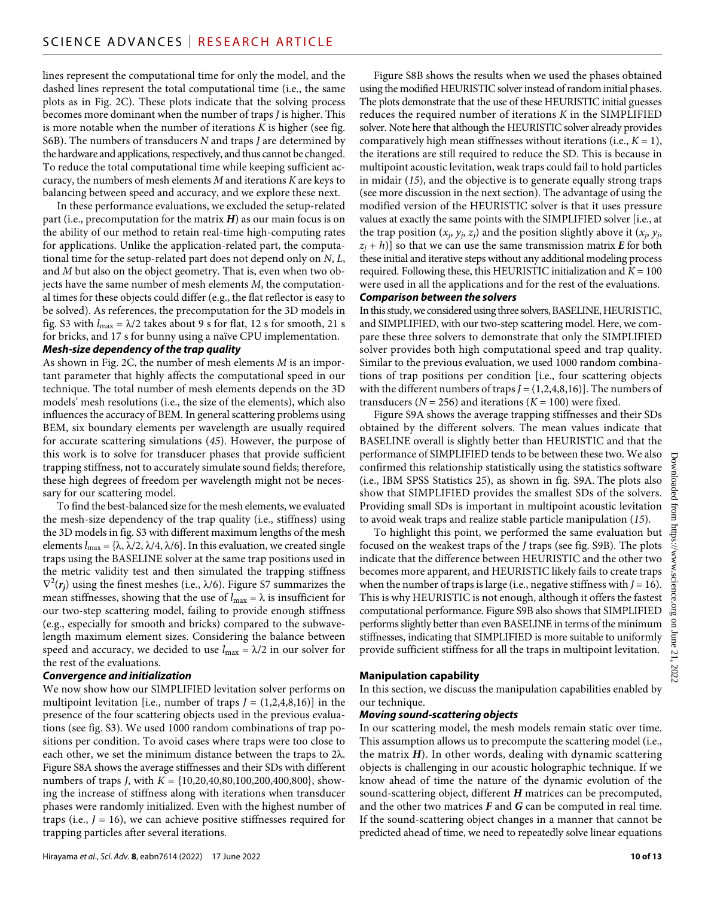lines represent the computational time for only the model, and the dashed lines represent the total computational time (i.e., the same plots as in Fig. 2C). These plots indicate that the solving process becomes more dominant when the number of traps *J* is higher. This is more notable when the number of iterations *K* is higher (see fig. S6B). The numbers of transducers *N* and traps *J* are determined by the hardware and applications, respectively, and thus cannot be changed. To reduce the total computational time while keeping sufficient accuracy, the numbers of mesh elements *M* and iterations *K* are keys to balancing between speed and accuracy, and we explore these next.

In these performance evaluations, we excluded the setup-related part (i.e., precomputation for the matrix *H*) as our main focus is on the ability of our method to retain real-time high-computing rates for applications. Unlike the application-related part, the computational time for the setup-related part does not depend only on *N*, *L*, and *M* but also on the object geometry. That is, even when two objects have the same number of mesh elements *M*, the computational times for these objects could differ (e.g., the flat reflector is easy to be solved). As references, the precomputation for the 3D models in fig. S3 with  $l_{\text{max}} = \lambda/2$  takes about 9 s for flat, 12 s for smooth, 21 s for bricks, and 17 s for bunny using a naïve CPU implementation.

#### *Mesh-size dependency ofthe trap quality*

As shown in Fig. 2C, the number of mesh elements *M* is an important parameter that highly affects the computational speed in our technique. The total number of mesh elements depends on the 3D models' mesh resolutions (i.e., the size of the elements), which also influences the accuracy of BEM. In general scattering problems using BEM, six boundary elements per wavelength are usually required for accurate scattering simulations (*45*). However, the purpose of this work is to solve for transducer phases that provide sufficient trapping stiffness, not to accurately simulate sound fields; therefore, these high degrees of freedom per wavelength might not be necessary for our scattering model.

To find the best-balanced size for the mesh elements, we evaluated the mesh-size dependency of the trap quality (i.e., stiffness) using the 3D models in fig. S3 with different maximum lengths of the mesh elements  $l_{\text{max}} = {\lambda, \lambda/2, \lambda/4, \lambda/6}$ . In this evaluation, we created single traps using the BASELINE solver at the same trap positions used in the metric validity test and then simulated the trapping stiffness  $\nabla^2(r_j)$  using the finest meshes (i.e.,  $\lambda/6$ ). Figure S7 summarizes the mean stiffnesses, showing that the use of  $l_{\text{max}} = \lambda$  is insufficient for our two-step scattering model, failing to provide enough stiffness (e.g., especially for smooth and bricks) compared to the subwavelength maximum element sizes. Considering the balance between speed and accuracy, we decided to use  $l_{\text{max}} = \lambda/2$  in our solver for the rest of the evaluations.

#### *Convergence and initialization*

We now show how our SIMPLIFIED levitation solver performs on multipoint levitation [i.e., number of traps  $J = (1,2,4,8,16)$ ] in the presence of the four scattering objects used in the previous evaluations (see fig. S3). We used 1000 random combinations of trap positions per condition. To avoid cases where traps were too close to each other, we set the minimum distance between the traps to  $2\lambda$ . Figure S8A shows the average stiffnesses and their SDs with different numbers of traps *J*, with *K* = {10,20,40,80,100,200,400,800}, showing the increase of stiffness along with iterations when transducer phases were randomly initialized. Even with the highest number of traps (i.e.,  $J = 16$ ), we can achieve positive stiffnesses required for trapping particles after several iterations.

Figure S8B shows the results when we used the phases obtained using the modified HEURISTIC solver instead of random initial phases. The plots demonstrate that the use of these HEURISTIC initial guesses reduces the required number of iterations *K* in the SIMPLIFIED solver. Note here that although the HEURISTIC solver already provides comparatively high mean stiffnesses without iterations (i.e.,  $K = 1$ ), the iterations are still required to reduce the SD. This is because in multipoint acoustic levitation, weak traps could fail to hold particles in midair (*15*), and the objective is to generate equally strong traps (see more discussion in the next section). The advantage of using the modified version of the HEURISTIC solver is that it uses pressure values at exactly the same points with the SIMPLIFIED solver [i.e., at the trap position  $(x_i, y_i, z_j)$  and the position slightly above it  $(x_i, y_j)$ ,  $z_j$  + *h*)] so that we can use the same transmission matrix *E* for both these initial and iterative steps without any additional modeling process required. Following these, this HEURISTIC initialization and  $K = 100$ were used in all the applications and for the rest of the evaluations. *Comparison between the solvers*

In this study, we considered using three solvers, BASELINE, HEURISTIC, and SIMPLIFIED, with our two-step scattering model. Here, we compare these three solvers to demonstrate that only the SIMPLIFIED solver provides both high computational speed and trap quality. Similar to the previous evaluation, we used 1000 random combinations of trap positions per condition [i.e., four scattering objects with the different numbers of traps  $J = (1,2,4,8,16)$ . The numbers of transducers ( $N = 256$ ) and iterations ( $K = 100$ ) were fixed.

Figure S9A shows the average trapping stiffnesses and their SDs obtained by the different solvers. The mean values indicate that BASELINE overall is slightly better than HEURISTIC and that the performance of SIMPLIFIED tends to be between these two. We also confirmed this relationship statistically using the statistics software (i.e., IBM SPSS Statistics 25), as shown in fig. S9A. The plots also show that SIMPLIFIED provides the smallest SDs of the solvers. Providing small SDs is important in multipoint acoustic levitation to avoid weak traps and realize stable particle manipulation (*15*).

To highlight this point, we performed the same evaluation but focused on the weakest traps of the *J* traps (see fig. S9B). The plots indicate that the difference between HEURISTIC and the other two becomes more apparent, and HEURISTIC likely fails to create traps when the number of traps is large (i.e., negative stiffness with  $J = 16$ ). This is why HEURISTIC is not enough, although it offers the fastest computational performance. Figure S9B also shows that SIMPLIFIED performs slightly better than even BASELINE in terms of the minimum stiffnesses, indicating that SIMPLIFIED is more suitable to uniformly provide sufficient stiffness for all the traps in multipoint levitation.

#### **Manipulation capability**

In this section, we discuss the manipulation capabilities enabled by our technique.

#### *Moving sound-scattering objects*

In our scattering model, the mesh models remain static over time. This assumption allows us to precompute the scattering model (i.e., the matrix *H*). In other words, dealing with dynamic scattering objects is challenging in our acoustic holographic technique. If we know ahead of time the nature of the dynamic evolution of the sound-scattering object, different *H* matrices can be precomputed, and the other two matrices *F* and *G* can be computed in real time. If the sound-scattering object changes in a manner that cannot be predicted ahead of time, we need to repeatedly solve linear equations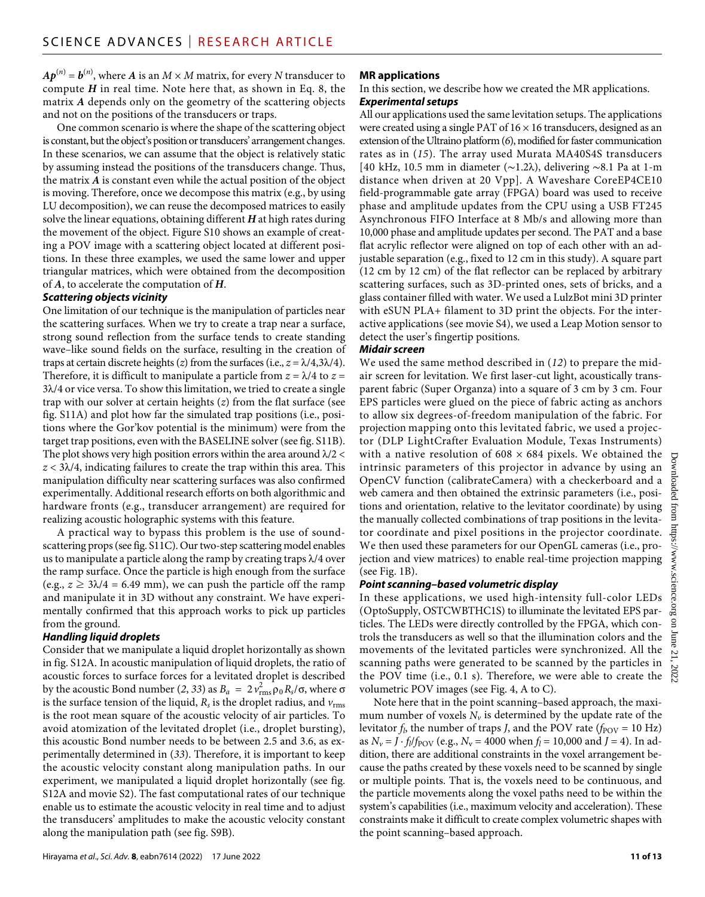$A\boldsymbol{p}^{(n)}$  =  $\boldsymbol{b}^{(n)},$  where  $A$  is an  $M\times M$  matrix, for every  $N$  transducer to compute *H* in real time. Note here that, as shown in Eq. 8, the matrix *A* depends only on the geometry of the scattering objects and not on the positions of the transducers or traps.

One common scenario is where the shape of the scattering object is constant, but the object's position or transducers' arrangement changes. In these scenarios, we can assume that the object is relatively static by assuming instead the positions of the transducers change. Thus, the matrix *A* is constant even while the actual position of the object is moving. Therefore, once we decompose this matrix (e.g., by using LU decomposition), we can reuse the decomposed matrices to easily solve the linear equations, obtaining different *H* at high rates during the movement of the object. Figure S10 shows an example of creating a POV image with a scattering object located at different positions. In these three examples, we used the same lower and upper triangular matrices, which were obtained from the decomposition of *A*, to accelerate the computation of *H*.

#### *Scattering objects vicinity*

One limitation of our technique is the manipulation of particles near the scattering surfaces. When we try to create a trap near a surface, strong sound reflection from the surface tends to create standing wave–like sound fields on the surface, resulting in the creation of traps at certain discrete heights (*z*) from the surfaces (i.e.,  $z = \lambda/4,3\lambda/4$ ). Therefore, it is difficult to manipulate a particle from  $z = \lambda/4$  to  $z =$  $3\lambda/4$  or vice versa. To show this limitation, we tried to create a single trap with our solver at certain heights (*z*) from the flat surface (see fig. S11A) and plot how far the simulated trap positions (i.e., positions where the Gor'kov potential is the minimum) were from the target trap positions, even with the BASELINE solver (see fig. S11B). The plot shows very high position errors within the area around  $\lambda/2 <$  $z < 3\lambda/4$ , indicating failures to create the trap within this area. This manipulation difficulty near scattering surfaces was also confirmed experimentally. Additional research efforts on both algorithmic and hardware fronts (e.g., transducer arrangement) are required for realizing acoustic holographic systems with this feature.

A practical way to bypass this problem is the use of soundscattering props (see fig. S11C). Our two-step scattering model enables us to manipulate a particle along the ramp by creating traps  $\lambda/4$  over the ramp surface. Once the particle is high enough from the surface (e.g.,  $z \geq 3\lambda/4 = 6.49$  mm), we can push the particle off the ramp and manipulate it in 3D without any constraint. We have experimentally confirmed that this approach works to pick up particles from the ground.

#### *Handling liquid droplets*

Consider that we manipulate a liquid droplet horizontally as shown in fig. S12A. In acoustic manipulation of liquid droplets, the ratio of acoustic forces to surface forces for a levitated droplet is described by the acoustic Bond number (2, 33) as  $B_a = 2 v_{\text{rms}}^2 \rho_0 R_s / \sigma$ , where  $\sigma$ is the surface tension of the liquid,  $R_s$  is the droplet radius, and  $v_{\rm rms}$ is the root mean square of the acoustic velocity of air particles. To avoid atomization of the levitated droplet (i.e., droplet bursting), this acoustic Bond number needs to be between 2.5 and 3.6, as experimentally determined in (*33*). Therefore, it is important to keep the acoustic velocity constant along manipulation paths. In our experiment, we manipulated a liquid droplet horizontally (see fig. S12A and movie S2). The fast computational rates of our technique enable us to estimate the acoustic velocity in real time and to adjust the transducers' amplitudes to make the acoustic velocity constant along the manipulation path (see fig. S9B).

#### **MR applications**

In this section, we describe how we created the MR applications. *Experimental setups*

All our applications used the same levitation setups. The applications were created using a single PAT of  $16 \times 16$  transducers, designed as an extension of the Ultraino platform (*6*), modified for faster communication rates as in (*15*). The array used Murata MA40S4S transducers [40 kHz, 10.5 mm in diameter (∼1.2), delivering ∼8.1 Pa at 1-m distance when driven at 20 Vpp]. A Waveshare CoreEP4CE10 field-programmable gate array (FPGA) board was used to receive phase and amplitude updates from the CPU using a USB FT245 Asynchronous FIFO Interface at 8 Mb/s and allowing more than 10,000 phase and amplitude updates per second. The PAT and a base flat acrylic reflector were aligned on top of each other with an adjustable separation (e.g., fixed to 12 cm in this study). A square part (12 cm by 12 cm) of the flat reflector can be replaced by arbitrary scattering surfaces, such as 3D-printed ones, sets of bricks, and a glass container filled with water. We used a LulzBot mini 3D printer with eSUN PLA+ filament to 3D print the objects. For the interactive applications (see movie S4), we used a Leap Motion sensor to detect the user's fingertip positions.

#### *Midair screen*

We used the same method described in (*12*) to prepare the midair screen for levitation. We first laser-cut light, acoustically transparent fabric (Super Organza) into a square of 3 cm by 3 cm. Four EPS particles were glued on the piece of fabric acting as anchors to allow six degrees-of-freedom manipulation of the fabric. For projection mapping onto this levitated fabric, we used a projector (DLP LightCrafter Evaluation Module, Texas Instruments) with a native resolution of  $608 \times 684$  pixels. We obtained the intrinsic parameters of this projector in advance by using an OpenCV function (calibrateCamera) with a checkerboard and a web camera and then obtained the extrinsic parameters (i.e., positions and orientation, relative to the levitator coordinate) by using the manually collected combinations of trap positions in the levitator coordinate and pixel positions in the projector coordinate. We then used these parameters for our OpenGL cameras (i.e., projection and view matrices) to enable real-time projection mapping (see Fig. 1B).

#### *Point scanning–based volumetric display*

In these applications, we used high-intensity full-color LEDs (OptoSupply, OSTCWBTHC1S) to illuminate the levitated EPS particles. The LEDs were directly controlled by the FPGA, which controls the transducers as well so that the illumination colors and the movements of the levitated particles were synchronized. All the scanning paths were generated to be scanned by the particles in the POV time (i.e., 0.1 s). Therefore, we were able to create the volumetric POV images (see Fig. 4, A to C).

Note here that in the point scanning–based approach, the maximum number of voxels  $N_v$  is determined by the update rate of the levitator  $f_l$ , the number of traps *J*, and the POV rate ( $f_{\text{POV}} = 10 \text{ Hz}$ ) as  $N_v = J \cdot f_l/f_{\text{POV}}$  (e.g.,  $N_v = 4000$  when  $f_l = 10,000$  and  $J = 4$ ). In addition, there are additional constraints in the voxel arrangement because the paths created by these voxels need to be scanned by single or multiple points. That is, the voxels need to be continuous, and the particle movements along the voxel paths need to be within the system's capabilities (i.e., maximum velocity and acceleration). These constraints make it difficult to create complex volumetric shapes with the point scanning–based approach.

Downloaded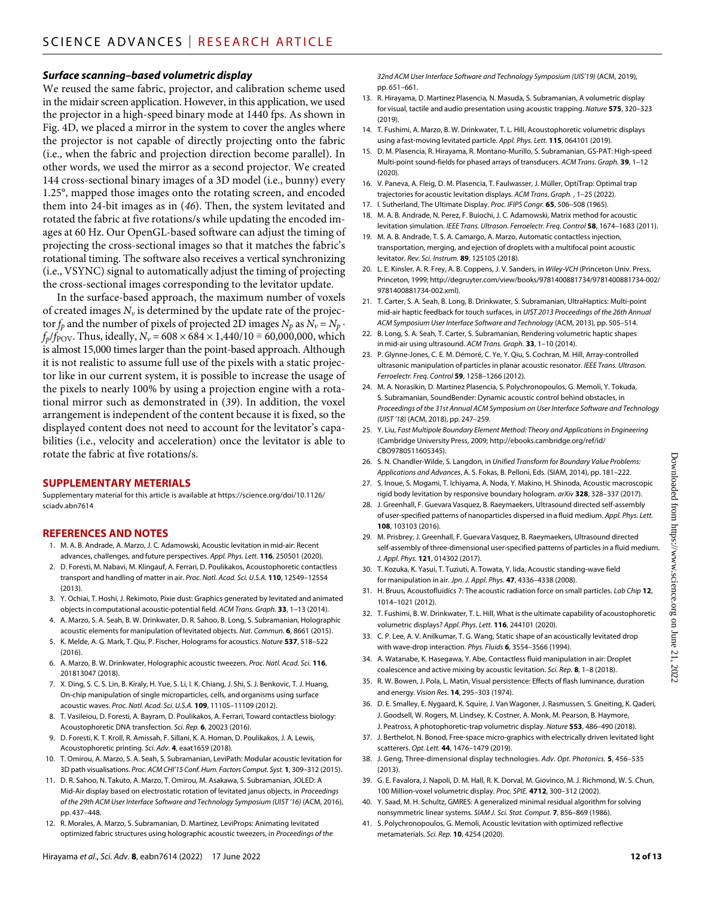#### *Surface scanning–based volumetric display*

We reused the same fabric, projector, and calibration scheme used in the midair screen application. However, in this application, we used the projector in a high-speed binary mode at 1440 fps. As shown in Fig. 4D, we placed a mirror in the system to cover the angles where the projector is not capable of directly projecting onto the fabric (i.e., when the fabric and projection direction become parallel). In other words, we used the mirror as a second projector. We created 144 cross-sectional binary images of a 3D model (i.e., bunny) every 1.25°, mapped those images onto the rotating screen, and encoded them into 24-bit images as in (*46*). Then, the system levitated and rotated the fabric at five rotations/s while updating the encoded images at 60 Hz. Our OpenGL-based software can adjust the timing of projecting the cross-sectional images so that it matches the fabric's rotational timing. The software also receives a vertical synchronizing (i.e., VSYNC) signal to automatically adjust the timing of projecting the cross-sectional images corresponding to the levitator update.

In the surface-based approach, the maximum number of voxels of created images  $N_{\nu}$  is determined by the update rate of the projector  $f_p$  and the number of pixels of projected 2D images  $N_p$  as  $N_v = N_p \cdot$ *f<sub>p</sub>*/*f*<sub>POV</sub>. Thus, ideally, *N<sub>v</sub>* = 608 × 684 × 1,440/10 ≅ 60,000,000, which is almost 15,000 times larger than the point-based approach. Although it is not realistic to assume full use of the pixels with a static projector like in our current system, it is possible to increase the usage of the pixels to nearly 100% by using a projection engine with a rotational mirror such as demonstrated in (*39*). In addition, the voxel arrangement is independent of the content because it is fixed, so the displayed content does not need to account for the levitator's capabilities (i.e., velocity and acceleration) once the levitator is able to rotate the fabric at five rotations/s.

#### **SUPPLEMENTARY METERIALS**

Supplementary material for this article is available at [https://science.org/doi/10.1126/](https://science.org/doi/10.1126/sciadv.abn7614) [sciadv.abn7614](https://science.org/doi/10.1126/sciadv.abn7614)

#### **REFERENCES AND NOTES**

- 1. M. A. B. Andrade, A. Marzo, J. C. Adamowski, Acoustic levitation in mid-air: Recent advances, challenges, and future perspectives. *Appl. Phys. Lett.* **116**, 250501 (2020).
- 2. D. Foresti, M. Nabavi, M. Klingauf, A. Ferrari, D. Poulikakos, Acoustophoretic contactless transport and handling of matter in air. *Proc. Natl. Acad. Sci. U.S.A.* **110**, 12549–12554 (2013).
- 3. Y. Ochiai, T. Hoshi, J. Rekimoto, Pixie dust: Graphics generated by levitated and animated objects in computational acoustic-potential field. *ACM Trans. Graph.* **33**, 1–13 (2014).
- 4. A. Marzo, S. A. Seah, B. W. Drinkwater, D. R. Sahoo, B. Long, S. Subramanian, Holographic acoustic elements for manipulation of levitated objects. *Nat. Commun.* **6**, 8661 (2015).
- 5. K. Melde, A. G. Mark, T. Qiu, P. Fischer, Holograms for acoustics. *Nature* **537**, 518–522  $(2016)$
- 6. A. Marzo, B. W. Drinkwater, Holographic acoustic tweezers. *Proc. Natl. Acad. Sci.* **116**, 201813047 (2018).
- 7. X. Ding, S. C. S. Lin, B. Kiraly, H. Yue, S. Li, I. K. Chiang, J. Shi, S. J. Benkovic, T. J. Huang, On-chip manipulation ofsingle microparticles, cells, and organisms using surface acoustic waves. *Proc. Natl. Acad. Sci. U.S.A.* **109**, 11105–11109 (2012).
- 8. T. Vasileiou, D. Foresti, A. Bayram, D. Poulikakos, A. Ferrari, Toward contactless biology: Acoustophoretic DNA transfection. *Sci. Rep.* **6**, 20023 (2016).
- 9. D. Foresti, K. T. Kroll, R. Amissah, F. Sillani, K. A. Homan, D. Poulikakos, J. A. Lewis, Acoustophoretic printing. *Sci. Adv.* **4**, eaat1659 (2018).
- 10. T. Omirou, A. Marzo, S. A. Seah, S. Subramanian, LeviPath: Modular acoustic levitation for 3D path visualisations. *Proc. ACM CHI'15 Conf. Hum. Factors Comput. Syst.* **1**, 309–312 (2015).
- 11. D. R. Sahoo, N. Takuto, A. Marzo, T. Omirou, M. Asakawa, S. Subramanian, JOLED: A Mid-Air display based on electrostatic rotation of levitated janus objects, in *Proceedings of the 29th ACM User Interface Software and Technology Symposium (UIST '16)* (ACM, 2016), pp. 437–448.
- 12. R. Morales, A. Marzo, S. Subramanian, D. Martínez, LeviProps: Animating levitated optimized fabric structures using holographic acoustic tweezers, in *Proceedings of the*

*32nd ACM User Interface Software and Technology Symposium (UIS'19)* (ACM, 2019), pp. 651–661.

- 13. R. Hirayama, D. Martinez Plasencia, N. Masuda, S. Subramanian, A volumetric display for visual, tactile and audio presentation using acoustic trapping. *Nature* **575**, 320–323 (2019).
- 14. T. Fushimi, A. Marzo, B. W. Drinkwater, T. L. Hill, Acoustophoretic volumetric displays using a fast-moving levitated particle. *Appl. Phys. Lett.* **115**, 064101 (2019).
- 15. D. M. Plasencia, R. Hirayama, R. Montano-Murillo, S. Subramanian, GS-PAT: High-speed Multi-point sound-fields for phased arrays of transducers. *ACM Trans. Graph.* **39**, 1–12 (2020).
- 16. V. Paneva, A. Fleig, D. M. Plasencia, T. Faulwasser, J. Müller, OptiTrap: Optimal trap trajectories for acoustic levitation displays. *ACM Trans. Graph.* , 1–25 (2022).
- 17. I. Sutherland, The Ultimate Display. *Proc. IFIPS Congr.* **65**, 506–508 (1965).
- 18. M. A. B. Andrade, N. Perez, F. Buiochi, J. C. Adamowski, Matrix method for acoustic levitation simulation. *IEEE Trans. Ultrason. Ferroelectr. Freq. Control* **58**, 1674–1683 (2011).
- 19. M. A. B. Andrade, T. S. A. Camargo, A. Marzo, Automatic contactless injection, transportation, merging, and ejection of droplets with a multifocal point acoustic levitator. *Rev. Sci. Instrum.* **89**, 125105 (2018).
- 20. L. E. Kinsler, A. R. Frey, A. B. Coppens, J. V. Sanders, in *Wiley-VCH* (Princeton Univ. Press, Princeton, 1999; [http://degruyter.com/view/books/9781400881734/9781400881734-002/](http://degruyter.com/view/books/9781400881734/9781400881734-002/9781400881734-002.xml) [9781400881734-002.xml\)](http://degruyter.com/view/books/9781400881734/9781400881734-002/9781400881734-002.xml).
- 21. T. Carter, S. A. Seah, B. Long, B. Drinkwater, S. Subramanian, UltraHaptics: Multi-point mid-air haptic feedback for touch surfaces, in *UIST 2013 Proceedings of the 26th Annual ACM Symposium User Interface Software and Technology* (ACM, 2013), pp. 505–514.
- 22. B. Long, S. A. Seah, T. Carter, S. Subramanian, Rendering volumetric haptic shapes in mid-air using ultrasound. *ACM Trans. Graph.* **33**, 1–10 (2014).
- 23. P. Glynne-Jones, C. E. M. Démoré, C. Ye, Y. Qiu, S. Cochran, M. Hill, Array-controlled ultrasonic manipulation of particles in planar acoustic resonator. *IEEE Trans. Ultrason. Ferroelectr. Freq. Control* **59**, 1258–1266 (2012).
- 24. M. A. Norasikin, D. Martinez Plasencia, S. Polychronopoulos, G. Memoli, Y. Tokuda, S. Subramanian, SoundBender: Dynamic acoustic control behind obstacles, in *Proceedings of the 31st Annual ACM Symposium on User Interface Software and Technology (UIST '18)* (ACM, 2018), pp. 247–259.
- 25. Y. Liu, *Fast Multipole Boundary Element Method: Theory and Applications in Engineering* (Cambridge University Press, 2009; [http://ebooks.cambridge.org/ref/id/](http://ebooks.cambridge.org/ref/id/CBO9780511605345) [CBO9780511605345](http://ebooks.cambridge.org/ref/id/CBO9780511605345)).
- 26. S. N. Chandler-Wilde, S. Langdon, in *Unified Transform for Boundary Value Problems: Applications and Advances*, A. S. Fokas, B. Pelloni, Eds. (SIAM, 2014), pp. 181–222.
- 27. S. Inoue, S. Mogami, T. Ichiyama, A. Noda, Y. Makino, H. Shinoda, Acoustic macroscopic rigid body levitation by responsive boundary hologram. *arXiv* **328**, 328–337 (2017).
- 28. J. Greenhall, F. Guevara Vasquez, B. Raeymaekers, Ultrasound directed self-assembly of user-specified patterns of nanoparticles dispersed in a fluid medium. *Appl. Phys. Lett.* **108**, 103103 (2016).
- 29. M. Prisbrey, J. Greenhall, F. Guevara Vasquez, B. Raeymaekers, Ultrasound directed self-assembly of three-dimensional user-specified patterns of particles in a fluid medium. *J. Appl. Phys.* **121**, 014302 (2017).
- 30. T. Kozuka, K. Yasui, T. Tuziuti, A. Towata, Y. Iida, Acoustic standing-wave field for manipulation in air. *Jpn. J. Appl. Phys.* **47**, 4336–4338 (2008).
- 31. H. Bruus, Acoustofluidics 7: The acoustic radiation force on small particles. *Lab Chip* **12**, 1014–1021 (2012).
- 32. T. Fushimi, B. W. Drinkwater, T. L. Hill, What is the ultimate capability of acoustophoretic volumetric displays? *Appl. Phys. Lett.* **116**, 244101 (2020).
- 33. C. P. Lee, A. V. Anilkumar, T. G. Wang, Static shape of an acoustically levitated drop with wave-drop interaction. *Phys. Fluids* **6**, 3554–3566 (1994).
- 34. A. Watanabe, K. Hasegawa, Y. Abe, Contactless fluid manipulation in air: Droplet coalescence and active mixing by acoustic levitation. *Sci. Rep.* **8**, 1–8 (2018).
- 35. R. W. Bowen, J. Pola, L. Matin, Visual persistence: Effects of flash luminance, duration and energy. *Vision Res.* **14**, 295–303 (1974).
- 36. D. E. Smalley, E. Nygaard, K. Squire, J. Van Wagoner, J. Rasmussen, S. Gneiting, K. Qaderi, J. Goodsell, W. Rogers, M. Lindsey, K. Costner, A. Monk, M. Pearson, B. Haymore, J. Peatross, A photophoretic-trap volumetric display. *Nature* **553**, 486–490 (2018).
- 37. J. Berthelot, N. Bonod, Free-space micro-graphics with electrically driven levitated light scatterers. *Opt. Lett.* **44**, 1476–1479 (2019).
- 38. J. Geng, Three-dimensional display technologies. *Adv. Opt. Photonics.* **5**, 456–535 (2013).
- 39. G. E. Favalora, J. Napoli, D. M. Hall, R. K. Dorval, M. Giovinco, M. J. Richmond, W. S. Chun, 100 Million-voxel volumetric display. *Proc. SPIE.* **4712**, 300–312 (2002).
- 40. Y. Saad, M. H. Schultz, GMRES: A generalized minimal residual algorithm forsolving nonsymmetric linear systems. *SIAM J. Sci. Stat. Comput.* **7**, 856–869 (1986).
- 41. S. Polychronopoulos, G. Memoli, Acoustic levitation with optimized reflective metamaterials. *Sci. Rep.* **10**, 4254 (2020).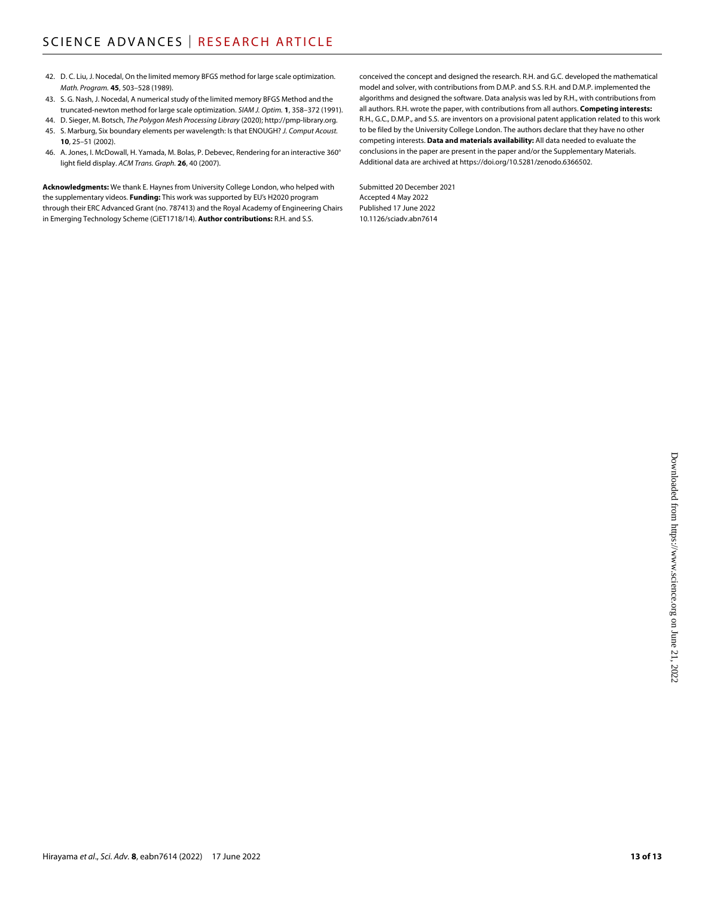- 42. D. C. Liu, J. Nocedal, On the limited memory BFGS method for large scale optimization. *Math. Program.* **45**, 503–528 (1989).
- 43. S. G. Nash, J. Nocedal, A numerical study of the limited memory BFGS Method and the truncated-newton method for large scale optimization. *SIAM J. Optim.* **1**, 358–372 (1991).
- 44. D. Sieger, M. Botsch, *The Polygon Mesh Processing Library* (2020);<http://pmp-library.org>. 45. S. Marburg, Six boundary elements per wavelength: Is that ENOUGH? *J. Comput Acoust.*
- **10**, 25–51 (2002).
- 46. A. Jones, I. McDowall, H. Yamada, M. Bolas, P. Debevec, Rendering for an interactive 360° light field display. *ACM Trans. Graph.* **26**, 40 (2007).

**Acknowledgments:** We thank E. Haynes from University College London, who helped with the supplementary videos. **Funding:** This work was supported by EU's H2020 program through their ERC Advanced Grant (no. 787413) and the Royal Academy of Engineering Chairs in Emerging Technology Scheme (CiET1718/14). **Author contributions:** R.H. and S.S.

conceived the concept and designed the research. R.H. and G.C. developed the mathematical model and solver, with contributions from D.M.P. and S.S. R.H. and D.M.P. implemented the algorithms and designed the software. Data analysis was led by R.H., with contributions from all authors. R.H. wrote the paper, with contributions from all authors. **Competing interests:** R.H., G.C., D.M.P., and S.S. are inventors on a provisional patent application related to this work to be filed by the University College London. The authors declare that they have no other competing interests. **Data and materials availability:** All data needed to evaluate the conclusions in the paper are present in the paper and/or the Supplementary Materials. Additional data are archived at [https://doi.org/10.5281/zenodo.6366502.](https://doi.org/10.5281/zenodo.6366502)

Submitted 20 December 2021 Accepted 4 May 2022 Published 17 June 2022 10.1126/sciadv.abn7614